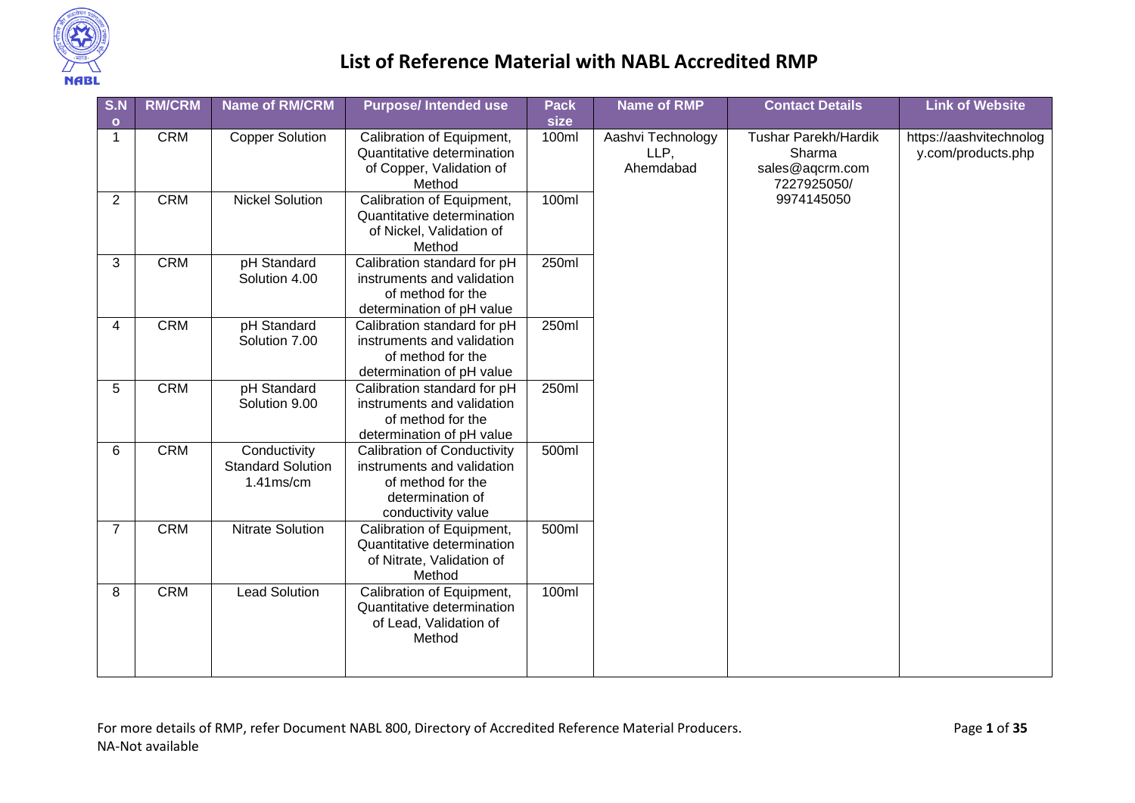

| S.N            | <b>RM/CRM</b> | <b>Name of RM/CRM</b>                                    | <b>Purpose/Intended use</b>                                                                                                     | <b>Pack</b> | <b>Name of RMP</b>                     | <b>Contact Details</b>                                                  | <b>Link of Website</b>                        |
|----------------|---------------|----------------------------------------------------------|---------------------------------------------------------------------------------------------------------------------------------|-------------|----------------------------------------|-------------------------------------------------------------------------|-----------------------------------------------|
| $\bullet$      |               |                                                          |                                                                                                                                 | size        |                                        |                                                                         |                                               |
| $\overline{1}$ | <b>CRM</b>    | <b>Copper Solution</b>                                   | Calibration of Equipment,<br>Quantitative determination<br>of Copper, Validation of<br>Method                                   | 100ml       | Aashvi Technology<br>LLP,<br>Ahemdabad | <b>Tushar Parekh/Hardik</b><br>Sharma<br>sales@aqcrm.com<br>7227925050/ | https://aashvitechnolog<br>y.com/products.php |
| $\overline{2}$ | <b>CRM</b>    | <b>Nickel Solution</b>                                   | Calibration of Equipment,<br>Quantitative determination<br>of Nickel, Validation of<br>Method                                   | 100ml       |                                        | 9974145050                                                              |                                               |
| 3              | <b>CRM</b>    | pH Standard<br>Solution 4.00                             | Calibration standard for pH<br>instruments and validation<br>of method for the<br>determination of pH value                     | 250ml       |                                        |                                                                         |                                               |
| 4              | <b>CRM</b>    | pH Standard<br>Solution 7.00                             | Calibration standard for pH<br>instruments and validation<br>of method for the<br>determination of pH value                     | 250ml       |                                        |                                                                         |                                               |
| 5              | <b>CRM</b>    | pH Standard<br>Solution 9.00                             | Calibration standard for pH<br>instruments and validation<br>of method for the<br>determination of pH value                     | 250ml       |                                        |                                                                         |                                               |
| 6              | <b>CRM</b>    | Conductivity<br><b>Standard Solution</b><br>$1.41$ ms/cm | <b>Calibration of Conductivity</b><br>instruments and validation<br>of method for the<br>determination of<br>conductivity value | 500ml       |                                        |                                                                         |                                               |
| $\overline{7}$ | <b>CRM</b>    | <b>Nitrate Solution</b>                                  | Calibration of Equipment,<br>Quantitative determination<br>of Nitrate, Validation of<br>Method                                  | 500ml       |                                        |                                                                         |                                               |
| 8              | <b>CRM</b>    | <b>Lead Solution</b>                                     | Calibration of Equipment,<br>Quantitative determination<br>of Lead, Validation of<br>Method                                     | 100ml       |                                        |                                                                         |                                               |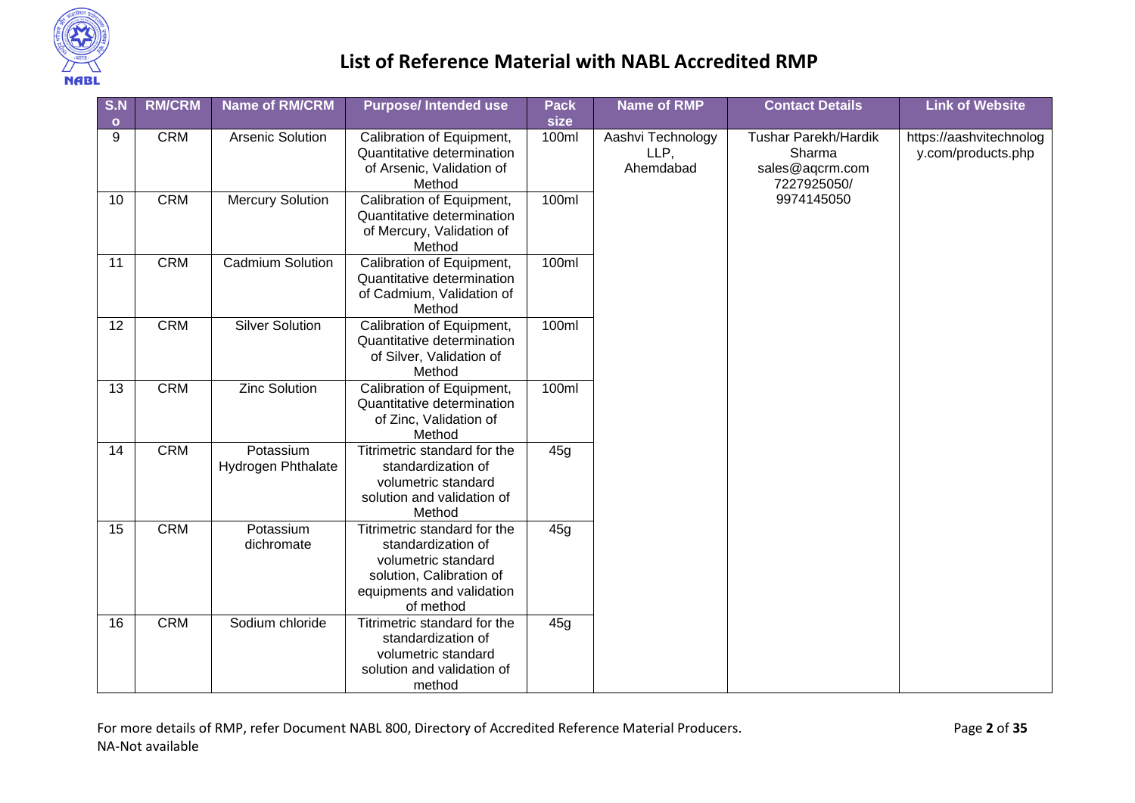

| S.N<br>$\circ$  | <b>RM/CRM</b> | <b>Name of RM/CRM</b>                  | <b>Purpose/Intended use</b>                                                                                                                     | <b>Pack</b><br>size | <b>Name of RMP</b>                     | <b>Contact Details</b>                                                  | <b>Link of Website</b>                        |
|-----------------|---------------|----------------------------------------|-------------------------------------------------------------------------------------------------------------------------------------------------|---------------------|----------------------------------------|-------------------------------------------------------------------------|-----------------------------------------------|
| 9               | <b>CRM</b>    | <b>Arsenic Solution</b>                | Calibration of Equipment,<br>Quantitative determination<br>of Arsenic, Validation of<br>Method                                                  | 100ml               | Aashvi Technology<br>LLP,<br>Ahemdabad | <b>Tushar Parekh/Hardik</b><br>Sharma<br>sales@aqcrm.com<br>7227925050/ | https://aashvitechnolog<br>y.com/products.php |
| 10              | <b>CRM</b>    | <b>Mercury Solution</b>                | Calibration of Equipment,<br>Quantitative determination<br>of Mercury, Validation of<br>Method                                                  | 100ml               |                                        | 9974145050                                                              |                                               |
| 11              | <b>CRM</b>    | <b>Cadmium Solution</b>                | Calibration of Equipment,<br>Quantitative determination<br>of Cadmium, Validation of<br>Method                                                  | 100ml               |                                        |                                                                         |                                               |
| $\overline{12}$ | <b>CRM</b>    | <b>Silver Solution</b>                 | Calibration of Equipment,<br>Quantitative determination<br>of Silver, Validation of<br>Method                                                   | 100ml               |                                        |                                                                         |                                               |
| 13              | <b>CRM</b>    | <b>Zinc Solution</b>                   | Calibration of Equipment,<br>Quantitative determination<br>of Zinc, Validation of<br>Method                                                     | 100ml               |                                        |                                                                         |                                               |
| 14              | <b>CRM</b>    | Potassium<br><b>Hydrogen Phthalate</b> | Titrimetric standard for the<br>standardization of<br>volumetric standard<br>solution and validation of<br>Method                               | 45 <sub>q</sub>     |                                        |                                                                         |                                               |
| 15              | <b>CRM</b>    | Potassium<br>dichromate                | Titrimetric standard for the<br>standardization of<br>volumetric standard<br>solution, Calibration of<br>equipments and validation<br>of method | 45g                 |                                        |                                                                         |                                               |
| 16              | <b>CRM</b>    | Sodium chloride                        | Titrimetric standard for the<br>standardization of<br>volumetric standard<br>solution and validation of<br>method                               | 45g                 |                                        |                                                                         |                                               |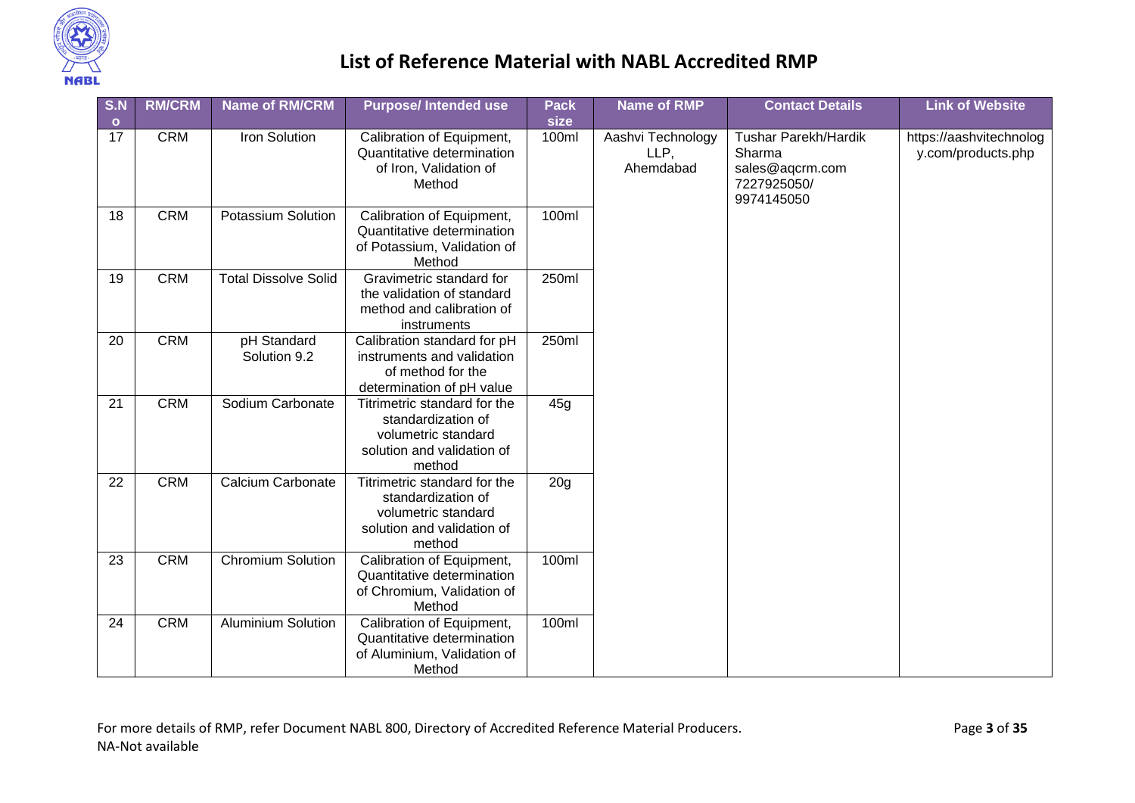

| S.N             | <b>RM/CRM</b> | <b>Name of RM/CRM</b>       | <b>Purpose/Intended use</b>                                                                                       | <b>Pack</b>     | <b>Name of RMP</b>                     | <b>Contact Details</b>                                                         | <b>Link of Website</b>                        |
|-----------------|---------------|-----------------------------|-------------------------------------------------------------------------------------------------------------------|-----------------|----------------------------------------|--------------------------------------------------------------------------------|-----------------------------------------------|
| $\bullet$<br>17 | <b>CRM</b>    | Iron Solution               | Calibration of Equipment,<br>Quantitative determination<br>of Iron, Validation of<br>Method                       | size<br>100ml   | Aashvi Technology<br>LLP,<br>Ahemdabad | Tushar Parekh/Hardik<br>Sharma<br>sales@aqcrm.com<br>7227925050/<br>9974145050 | https://aashvitechnolog<br>y.com/products.php |
| 18              | <b>CRM</b>    | <b>Potassium Solution</b>   | Calibration of Equipment,<br>Quantitative determination<br>of Potassium, Validation of<br>Method                  | 100ml           |                                        |                                                                                |                                               |
| 19              | <b>CRM</b>    | <b>Total Dissolve Solid</b> | Gravimetric standard for<br>the validation of standard<br>method and calibration of<br>instruments                | 250ml           |                                        |                                                                                |                                               |
| 20              | <b>CRM</b>    | pH Standard<br>Solution 9.2 | Calibration standard for pH<br>instruments and validation<br>of method for the<br>determination of pH value       | 250ml           |                                        |                                                                                |                                               |
| 21              | <b>CRM</b>    | Sodium Carbonate            | Titrimetric standard for the<br>standardization of<br>volumetric standard<br>solution and validation of<br>method | 45g             |                                        |                                                                                |                                               |
| 22              | <b>CRM</b>    | Calcium Carbonate           | Titrimetric standard for the<br>standardization of<br>volumetric standard<br>solution and validation of<br>method | 20 <sub>g</sub> |                                        |                                                                                |                                               |
| 23              | <b>CRM</b>    | <b>Chromium Solution</b>    | Calibration of Equipment,<br>Quantitative determination<br>of Chromium, Validation of<br>Method                   | 100ml           |                                        |                                                                                |                                               |
| 24              | <b>CRM</b>    | <b>Aluminium Solution</b>   | Calibration of Equipment,<br>Quantitative determination<br>of Aluminium, Validation of<br>Method                  | 100ml           |                                        |                                                                                |                                               |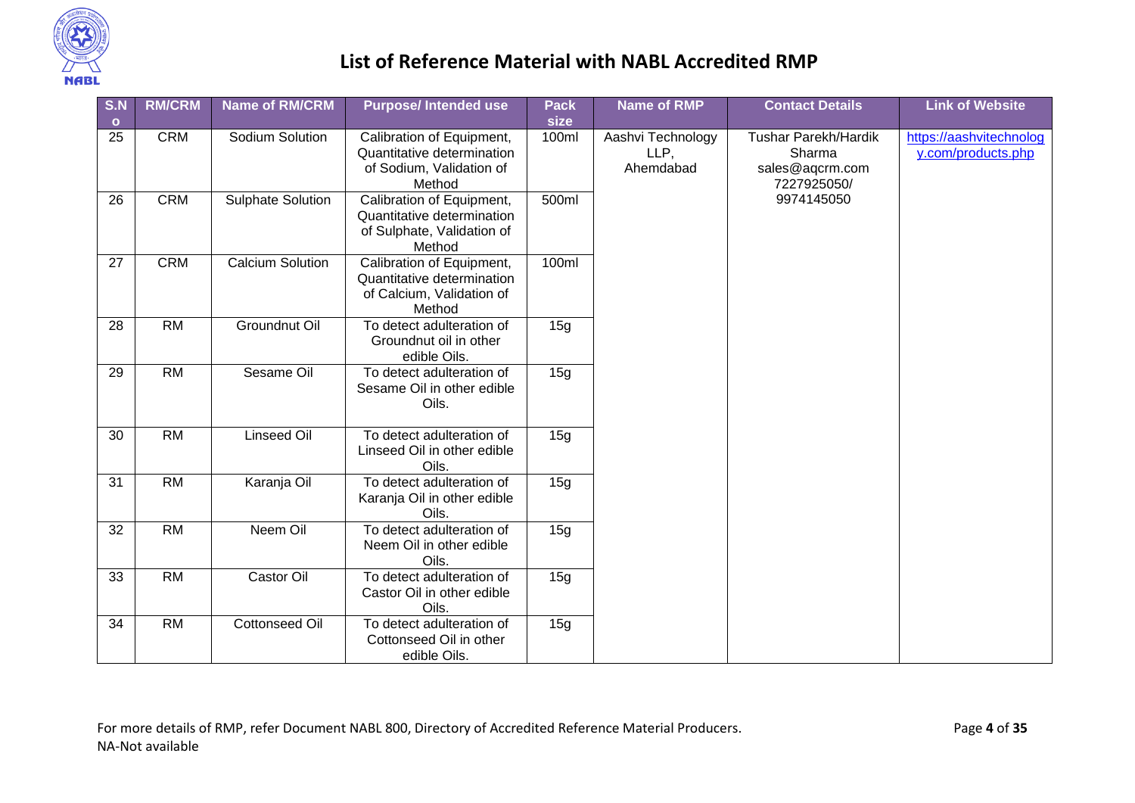

| S.N             | <b>RM/CRM</b> | <b>Name of RM/CRM</b>    | <b>Purpose/Intended use</b>                                                                     | <b>Pack</b> | <b>Name of RMP</b> | <b>Contact Details</b>                         | <b>Link of Website</b>              |                                               |
|-----------------|---------------|--------------------------|-------------------------------------------------------------------------------------------------|-------------|--------------------|------------------------------------------------|-------------------------------------|-----------------------------------------------|
| $\mathbf{o}$    |               |                          |                                                                                                 | size        |                    |                                                |                                     |                                               |
| 25              | <b>CRM</b>    | Sodium Solution          | Calibration of Equipment,<br>Quantitative determination<br>of Sodium, Validation of<br>Method   | 100ml       | LLP,<br>Ahemdabad  | Aashvi Technology<br>Sharma<br>sales@aqcrm.com | Tushar Parekh/Hardik<br>7227925050/ | https://aashvitechnolog<br>y.com/products.php |
| 26              | <b>CRM</b>    | <b>Sulphate Solution</b> | Calibration of Equipment,<br>Quantitative determination<br>of Sulphate, Validation of<br>Method | 500ml       |                    | 9974145050                                     |                                     |                                               |
| 27              | <b>CRM</b>    | <b>Calcium Solution</b>  | Calibration of Equipment,<br>Quantitative determination<br>of Calcium, Validation of<br>Method  | 100ml       |                    |                                                |                                     |                                               |
| 28              | <b>RM</b>     | Groundnut Oil            | To detect adulteration of<br>Groundnut oil in other<br>edible Oils.                             | 15g         |                    |                                                |                                     |                                               |
| 29              | <b>RM</b>     | Sesame Oil               | To detect adulteration of<br>Sesame Oil in other edible<br>Oils.                                | 15g         |                    |                                                |                                     |                                               |
| 30              | <b>RM</b>     | <b>Linseed Oil</b>       | To detect adulteration of<br>Linseed Oil in other edible<br>Oils.                               | 15g         |                    |                                                |                                     |                                               |
| 31              | <b>RM</b>     | Karanja Oil              | To detect adulteration of<br>Karanja Oil in other edible<br>Oils.                               | 15g         |                    |                                                |                                     |                                               |
| $\overline{32}$ | RM            | Neem Oil                 | To detect adulteration of<br>Neem Oil in other edible<br>Oils.                                  | 15g         |                    |                                                |                                     |                                               |
| 33              | <b>RM</b>     | Castor Oil               | To detect adulteration of<br>Castor Oil in other edible<br>Oils.                                | 15g         |                    |                                                |                                     |                                               |
| 34              | <b>RM</b>     | <b>Cottonseed Oil</b>    | To detect adulteration of<br>Cottonseed Oil in other<br>edible Oils.                            | 15g         |                    |                                                |                                     |                                               |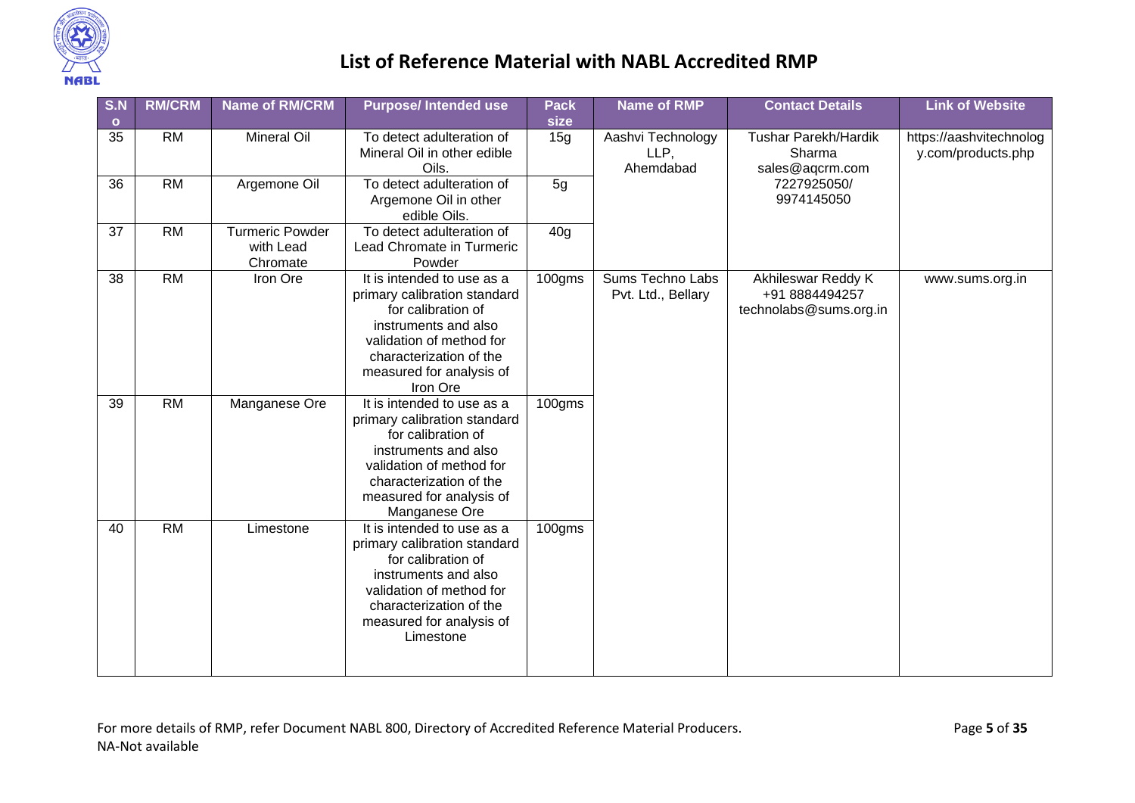

| S.N     | <b>RM/CRM</b> | <b>Name of RM/CRM</b>                           | <b>Purpose/Intended use</b>                                                                                                                                                                                  | <b>Pack</b>     | <b>Name of RMP</b>                            | <b>Contact Details</b>                                         | <b>Link of Website</b>                        |
|---------|---------------|-------------------------------------------------|--------------------------------------------------------------------------------------------------------------------------------------------------------------------------------------------------------------|-----------------|-----------------------------------------------|----------------------------------------------------------------|-----------------------------------------------|
| $\circ$ |               |                                                 |                                                                                                                                                                                                              | size            |                                               |                                                                |                                               |
| 35      | <b>RM</b>     | <b>Mineral Oil</b>                              | To detect adulteration of<br>Mineral Oil in other edible<br>Oils.                                                                                                                                            | 15g             | Aashvi Technology<br>LLP,<br>Ahemdabad        | Tushar Parekh/Hardik<br>Sharma<br>sales@aqcrm.com              | https://aashvitechnolog<br>y.com/products.php |
| 36      | RM            | Argemone Oil                                    | To detect adulteration of<br>Argemone Oil in other<br>edible Oils.                                                                                                                                           | 5g              |                                               | 7227925050/<br>9974145050                                      |                                               |
| 37      | <b>RM</b>     | <b>Turmeric Powder</b><br>with Lead<br>Chromate | To detect adulteration of<br>Lead Chromate in Turmeric<br>Powder                                                                                                                                             | 40 <sub>g</sub> |                                               |                                                                |                                               |
| 38      | RM            | Iron Ore                                        | It is intended to use as a<br>primary calibration standard<br>for calibration of<br>instruments and also<br>validation of method for<br>characterization of the<br>measured for analysis of<br>Iron Ore      | 100gms          | <b>Sums Techno Labs</b><br>Pvt. Ltd., Bellary | Akhileswar Reddy K<br>+91 8884494257<br>technolabs@sums.org.in | www.sums.org.in                               |
| 39      | <b>RM</b>     | Manganese Ore                                   | It is intended to use as a<br>primary calibration standard<br>for calibration of<br>instruments and also<br>validation of method for<br>characterization of the<br>measured for analysis of<br>Manganese Ore | 100gms          |                                               |                                                                |                                               |
| 40      | <b>RM</b>     | Limestone                                       | It is intended to use as a<br>primary calibration standard<br>for calibration of<br>instruments and also<br>validation of method for<br>characterization of the<br>measured for analysis of<br>Limestone     | 100gms          |                                               |                                                                |                                               |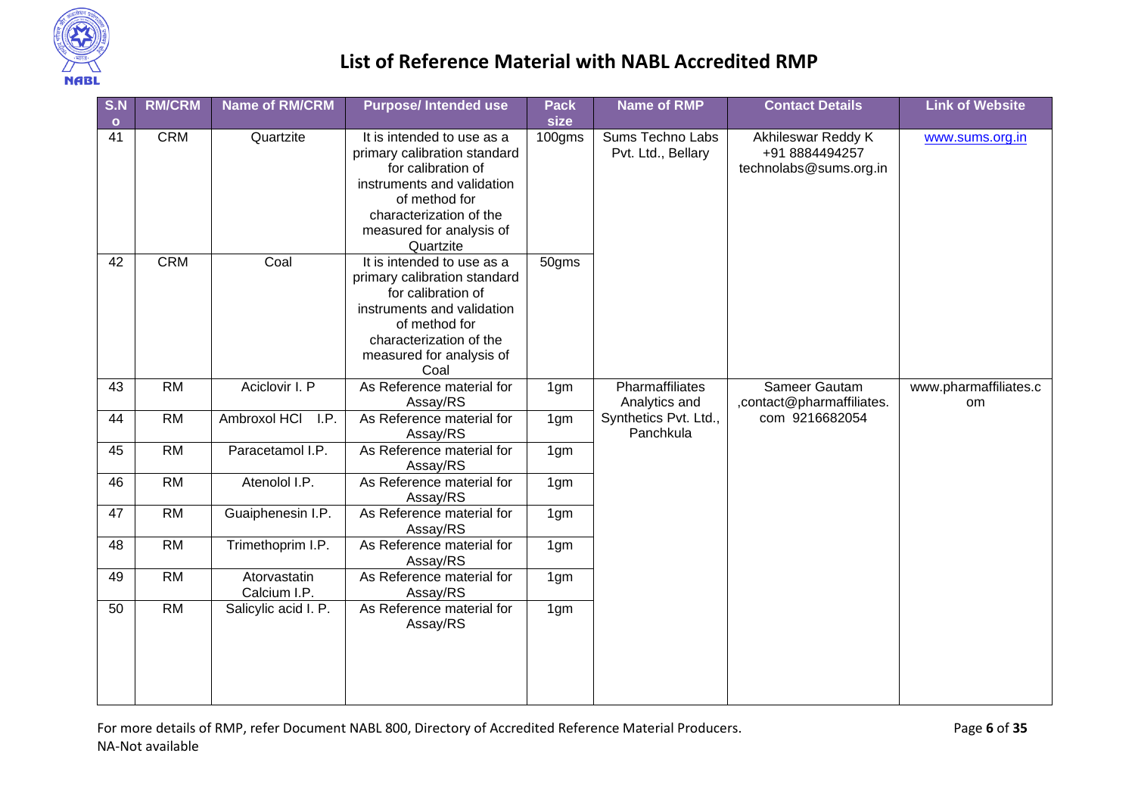

| S.N                | <b>RM/CRM</b>   | <b>Name of RM/CRM</b>        | <b>Purpose/Intended use</b>                                                                                                                                                                    | <b>Pack</b>     | <b>Name of RMP</b>                     | <b>Contact Details</b>                                         | <b>Link of Website</b>      |
|--------------------|-----------------|------------------------------|------------------------------------------------------------------------------------------------------------------------------------------------------------------------------------------------|-----------------|----------------------------------------|----------------------------------------------------------------|-----------------------------|
| $\mathbf{o}$<br>41 | <b>CRM</b>      | Quartzite                    | It is intended to use as a<br>primary calibration standard<br>for calibration of                                                                                                               | size<br>100gms  | Sums Techno Labs<br>Pvt. Ltd., Bellary | Akhileswar Reddy K<br>+91 8884494257<br>technolabs@sums.org.in | www.sums.org.in             |
|                    |                 |                              | instruments and validation<br>of method for<br>characterization of the<br>measured for analysis of<br>Quartzite                                                                                |                 |                                        |                                                                |                             |
| 42                 | <b>CRM</b>      | Coal                         | It is intended to use as a<br>primary calibration standard<br>for calibration of<br>instruments and validation<br>of method for<br>characterization of the<br>measured for analysis of<br>Coal | 50gms           |                                        |                                                                |                             |
| 43                 | $\overline{RM}$ | Aciclovir I. P               | As Reference material for<br>Assay/RS                                                                                                                                                          | 1gm             | Pharmaffiliates<br>Analytics and       | Sameer Gautam<br>, contact@pharmaffiliates.                    | www.pharmaffiliates.c<br>om |
| 44                 | RM              | Ambroxol HCI<br>I.P.         | As Reference material for<br>Assay/RS                                                                                                                                                          | 1 <sub>gm</sub> | Synthetics Pvt. Ltd.,<br>Panchkula     | com 9216682054                                                 |                             |
| 45                 | <b>RM</b>       | Paracetamol I.P.             | As Reference material for<br>Assay/RS                                                                                                                                                          | 1gm             |                                        |                                                                |                             |
| 46                 | <b>RM</b>       | Atenolol I.P.                | As Reference material for<br>Assay/RS                                                                                                                                                          | 1 <sub>gm</sub> |                                        |                                                                |                             |
| 47                 | $\overline{RM}$ | Guaiphenesin I.P.            | As Reference material for<br>Assay/RS                                                                                                                                                          | 1 <sub>gm</sub> |                                        |                                                                |                             |
| 48                 | <b>RM</b>       | Trimethoprim I.P.            | As Reference material for<br>Assay/RS                                                                                                                                                          | 1gm             |                                        |                                                                |                             |
| 49                 | <b>RM</b>       | Atorvastatin<br>Calcium I.P. | As Reference material for<br>Assay/RS                                                                                                                                                          | 1 <sub>gm</sub> |                                        |                                                                |                             |
| 50                 | RM              | Salicylic acid I. P.         | As Reference material for<br>Assay/RS                                                                                                                                                          | 1 <sub>gm</sub> |                                        |                                                                |                             |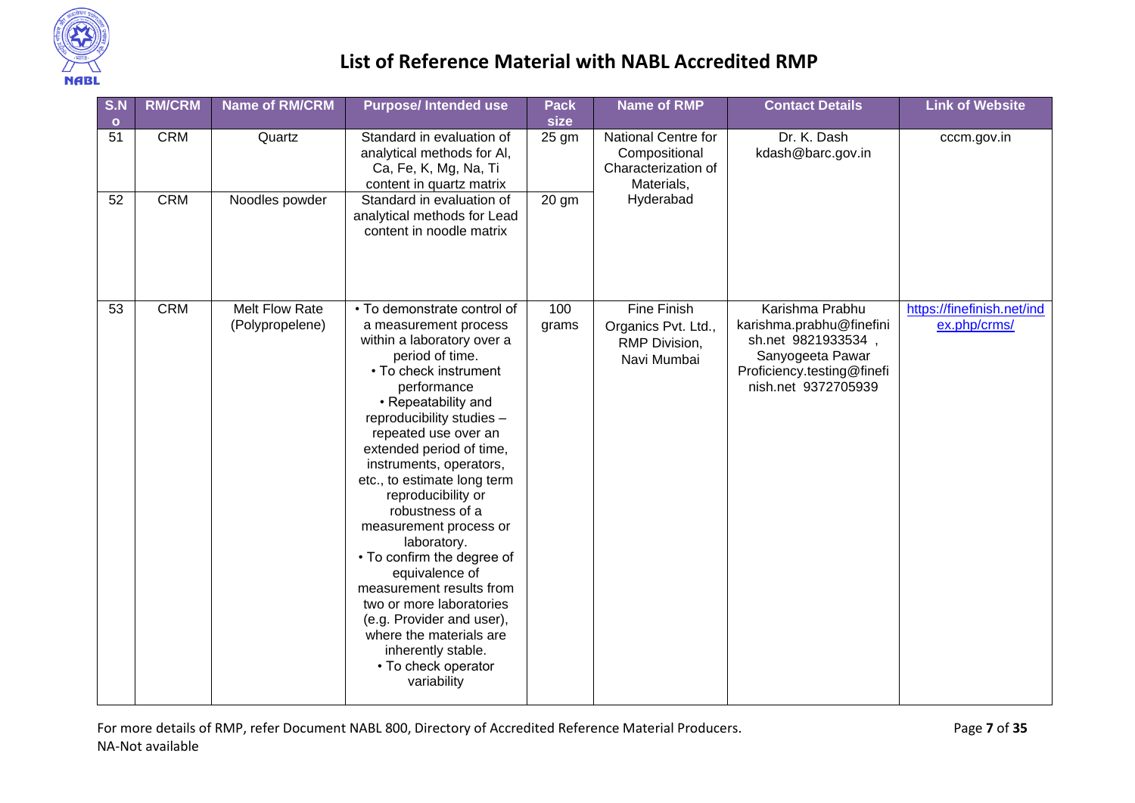

| S.N<br>$\bullet$ | <b>RM/CRM</b> | <b>Name of RM/CRM</b>             | <b>Purpose/Intended use</b>                                                                                                                                                                                                                                                                                                                                                                                                                                                                                                                                                                                                   | <b>Pack</b><br>size | <b>Name of RMP</b>                                                        | <b>Contact Details</b>                                                                                                                    | <b>Link of Website</b>                     |
|------------------|---------------|-----------------------------------|-------------------------------------------------------------------------------------------------------------------------------------------------------------------------------------------------------------------------------------------------------------------------------------------------------------------------------------------------------------------------------------------------------------------------------------------------------------------------------------------------------------------------------------------------------------------------------------------------------------------------------|---------------------|---------------------------------------------------------------------------|-------------------------------------------------------------------------------------------------------------------------------------------|--------------------------------------------|
| 51               | <b>CRM</b>    | Quartz                            | Standard in evaluation of<br>analytical methods for AI,<br>Ca, Fe, K, Mg, Na, Ti<br>content in quartz matrix                                                                                                                                                                                                                                                                                                                                                                                                                                                                                                                  | 25 gm               | National Centre for<br>Compositional<br>Characterization of<br>Materials, | Dr. K. Dash<br>kdash@barc.gov.in                                                                                                          | cccm.gov.in                                |
| 52               | <b>CRM</b>    | Noodles powder                    | Standard in evaluation of<br>analytical methods for Lead<br>content in noodle matrix                                                                                                                                                                                                                                                                                                                                                                                                                                                                                                                                          | 20 gm               | Hyderabad                                                                 |                                                                                                                                           |                                            |
| 53               | <b>CRM</b>    | Melt Flow Rate<br>(Polypropelene) | • To demonstrate control of<br>a measurement process<br>within a laboratory over a<br>period of time.<br>• To check instrument<br>performance<br>• Repeatability and<br>reproducibility studies -<br>repeated use over an<br>extended period of time,<br>instruments, operators,<br>etc., to estimate long term<br>reproducibility or<br>robustness of a<br>measurement process or<br>laboratory.<br>• To confirm the degree of<br>equivalence of<br>measurement results from<br>two or more laboratories<br>(e.g. Provider and user),<br>where the materials are<br>inherently stable.<br>• To check operator<br>variability | 100<br>grams        | Fine Finish<br>Organics Pvt. Ltd.,<br>RMP Division,<br>Navi Mumbai        | Karishma Prabhu<br>karishma.prabhu@finefini<br>sh.net 9821933534<br>Sanyogeeta Pawar<br>Proficiency.testing@finefi<br>nish.net 9372705939 | https://finefinish.net/ind<br>ex.php/crms/ |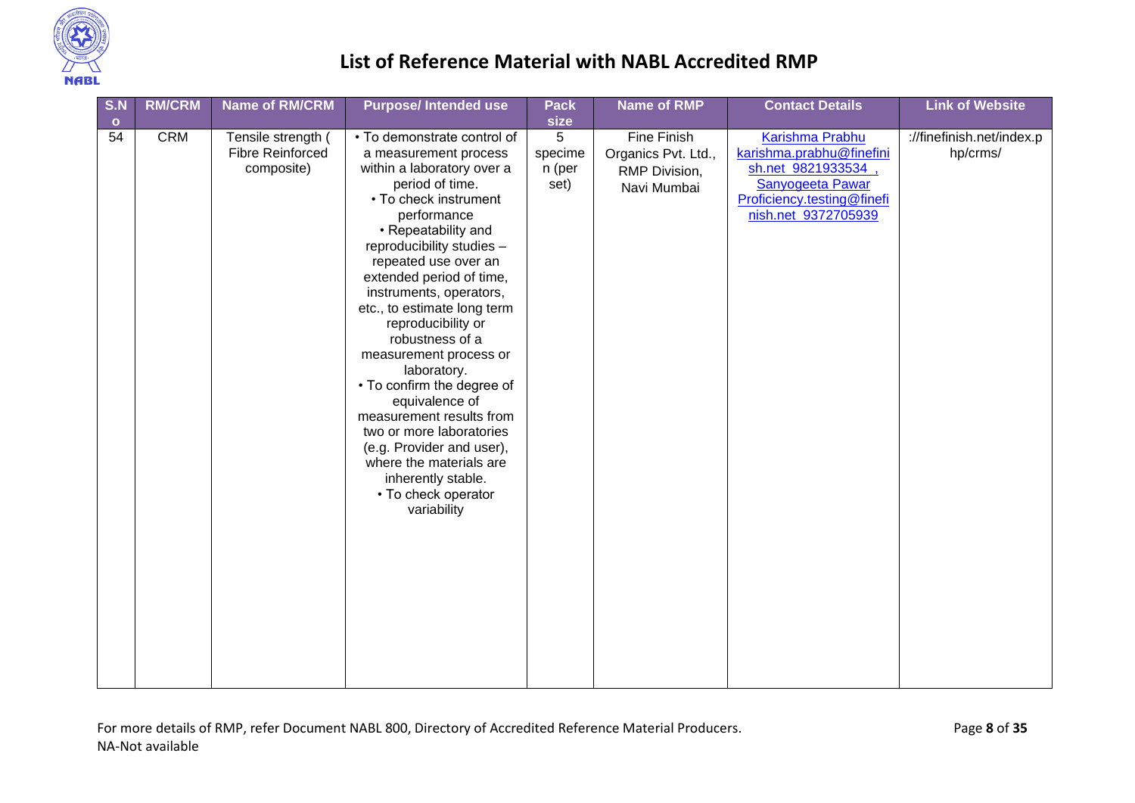

| S.N             | <b>RM/CRM</b> | <b>Name of RM/CRM</b>                                       | <b>Purpose/Intended use</b>                                                                                                                                                                                                                                                                                                                                                                                                                                                                                                                                                                                                   | <b>Pack</b>                            | <b>Name of RMP</b>                                                 | <b>Contact Details</b>                                                                                                                            | <b>Link of Website</b>                |
|-----------------|---------------|-------------------------------------------------------------|-------------------------------------------------------------------------------------------------------------------------------------------------------------------------------------------------------------------------------------------------------------------------------------------------------------------------------------------------------------------------------------------------------------------------------------------------------------------------------------------------------------------------------------------------------------------------------------------------------------------------------|----------------------------------------|--------------------------------------------------------------------|---------------------------------------------------------------------------------------------------------------------------------------------------|---------------------------------------|
|                 |               |                                                             |                                                                                                                                                                                                                                                                                                                                                                                                                                                                                                                                                                                                                               |                                        |                                                                    |                                                                                                                                                   |                                       |
| $\bullet$<br>54 | <b>CRM</b>    | Tensile strength (<br><b>Fibre Reinforced</b><br>composite) | • To demonstrate control of<br>a measurement process<br>within a laboratory over a<br>period of time.<br>• To check instrument<br>performance<br>• Repeatability and<br>reproducibility studies -<br>repeated use over an<br>extended period of time,<br>instruments, operators,<br>etc., to estimate long term<br>reproducibility or<br>robustness of a<br>measurement process or<br>laboratory.<br>• To confirm the degree of<br>equivalence of<br>measurement results from<br>two or more laboratories<br>(e.g. Provider and user),<br>where the materials are<br>inherently stable.<br>• To check operator<br>variability | size<br>5<br>specime<br>n (per<br>set) | Fine Finish<br>Organics Pvt. Ltd.,<br>RMP Division,<br>Navi Mumbai | <b>Karishma Prabhu</b><br>karishma.prabhu@finefini<br>sh.net 9821933534,<br>Sanyogeeta Pawar<br>Proficiency.testing@finefi<br>nish.net 9372705939 | ://finefinish.net/index.p<br>hp/crms/ |
|                 |               |                                                             |                                                                                                                                                                                                                                                                                                                                                                                                                                                                                                                                                                                                                               |                                        |                                                                    |                                                                                                                                                   |                                       |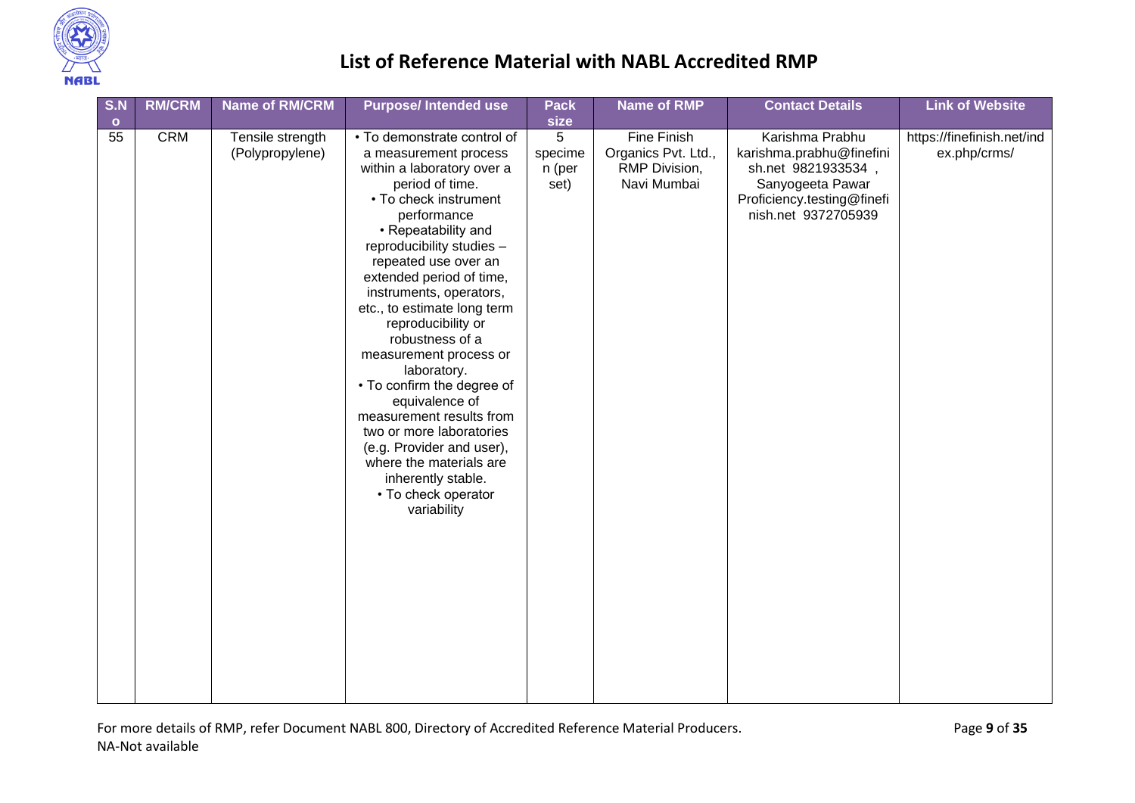

| S.N<br>$\bullet$ | <b>RM/CRM</b> | <b>Name of RM/CRM</b>               | <b>Purpose/Intended use</b>                                                                                                                                                                                                                                                                                                                                                                                                                                                                                                                                                                                                   | Pack<br>size                   | <b>Name of RMP</b>                                                 | <b>Contact Details</b>                                                                                                                    | <b>Link of Website</b>                     |
|------------------|---------------|-------------------------------------|-------------------------------------------------------------------------------------------------------------------------------------------------------------------------------------------------------------------------------------------------------------------------------------------------------------------------------------------------------------------------------------------------------------------------------------------------------------------------------------------------------------------------------------------------------------------------------------------------------------------------------|--------------------------------|--------------------------------------------------------------------|-------------------------------------------------------------------------------------------------------------------------------------------|--------------------------------------------|
| 55               | <b>CRM</b>    | Tensile strength<br>(Polypropylene) | • To demonstrate control of<br>a measurement process<br>within a laboratory over a<br>period of time.<br>• To check instrument<br>performance<br>• Repeatability and<br>reproducibility studies -<br>repeated use over an<br>extended period of time,<br>instruments, operators,<br>etc., to estimate long term<br>reproducibility or<br>robustness of a<br>measurement process or<br>laboratory.<br>• To confirm the degree of<br>equivalence of<br>measurement results from<br>two or more laboratories<br>(e.g. Provider and user),<br>where the materials are<br>inherently stable.<br>• To check operator<br>variability | 5<br>specime<br>n (per<br>set) | Fine Finish<br>Organics Pvt. Ltd.,<br>RMP Division,<br>Navi Mumbai | Karishma Prabhu<br>karishma.prabhu@finefini<br>sh.net 9821933534<br>Sanyogeeta Pawar<br>Proficiency.testing@finefi<br>nish.net 9372705939 | https://finefinish.net/ind<br>ex.php/crms/ |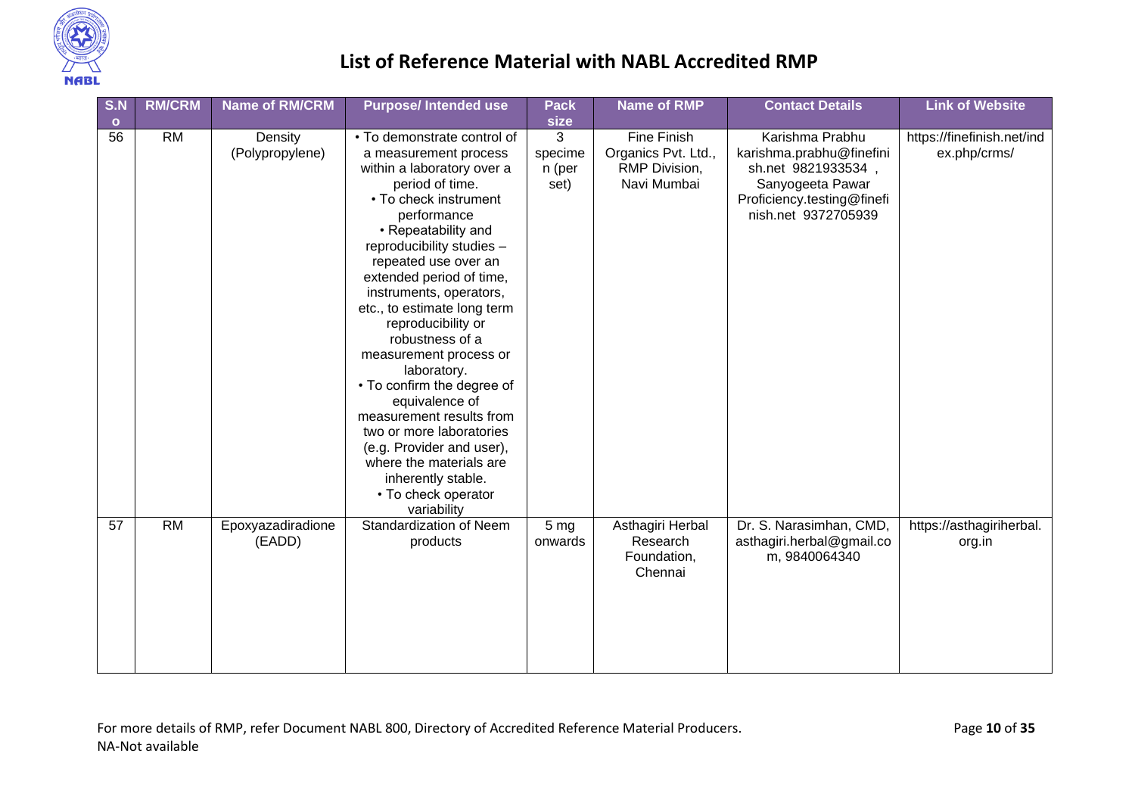

| S.N       | <b>RM/CRM</b> | <b>Name of RM/CRM</b>       | <b>Purpose/Intended use</b>                                                                                                                                                                                                                                                                                                                                                                                                                                                                                                                                                                                                   | <b>Pack</b>                    | <b>Name of RMP</b>                                                 | <b>Contact Details</b>                                                                                                                     | <b>Link of Website</b>                     |
|-----------|---------------|-----------------------------|-------------------------------------------------------------------------------------------------------------------------------------------------------------------------------------------------------------------------------------------------------------------------------------------------------------------------------------------------------------------------------------------------------------------------------------------------------------------------------------------------------------------------------------------------------------------------------------------------------------------------------|--------------------------------|--------------------------------------------------------------------|--------------------------------------------------------------------------------------------------------------------------------------------|--------------------------------------------|
| $\bullet$ |               |                             |                                                                                                                                                                                                                                                                                                                                                                                                                                                                                                                                                                                                                               | size                           |                                                                    |                                                                                                                                            |                                            |
| 56        | <b>RM</b>     | Density<br>(Polypropylene)  | • To demonstrate control of<br>a measurement process<br>within a laboratory over a<br>period of time.<br>• To check instrument<br>performance<br>• Repeatability and<br>reproducibility studies -<br>repeated use over an<br>extended period of time,<br>instruments, operators,<br>etc., to estimate long term<br>reproducibility or<br>robustness of a<br>measurement process or<br>laboratory.<br>• To confirm the degree of<br>equivalence of<br>measurement results from<br>two or more laboratories<br>(e.g. Provider and user),<br>where the materials are<br>inherently stable.<br>• To check operator<br>variability | 3<br>specime<br>n (per<br>set) | Fine Finish<br>Organics Pvt. Ltd.,<br>RMP Division,<br>Navi Mumbai | Karishma Prabhu<br>karishma.prabhu@finefini<br>sh.net 9821933534,<br>Sanyogeeta Pawar<br>Proficiency.testing@finefi<br>nish.net 9372705939 | https://finefinish.net/ind<br>ex.php/crms/ |
| 57        | <b>RM</b>     | Epoxyazadiradione<br>(EADD) | Standardization of Neem<br>products                                                                                                                                                                                                                                                                                                                                                                                                                                                                                                                                                                                           | 5 <sub>mg</sub><br>onwards     | Asthagiri Herbal<br>Research<br>Foundation,<br>Chennai             | Dr. S. Narasimhan, CMD,<br>asthagiri.herbal@gmail.co<br>m, 9840064340                                                                      | https://asthagiriherbal.<br>org.in         |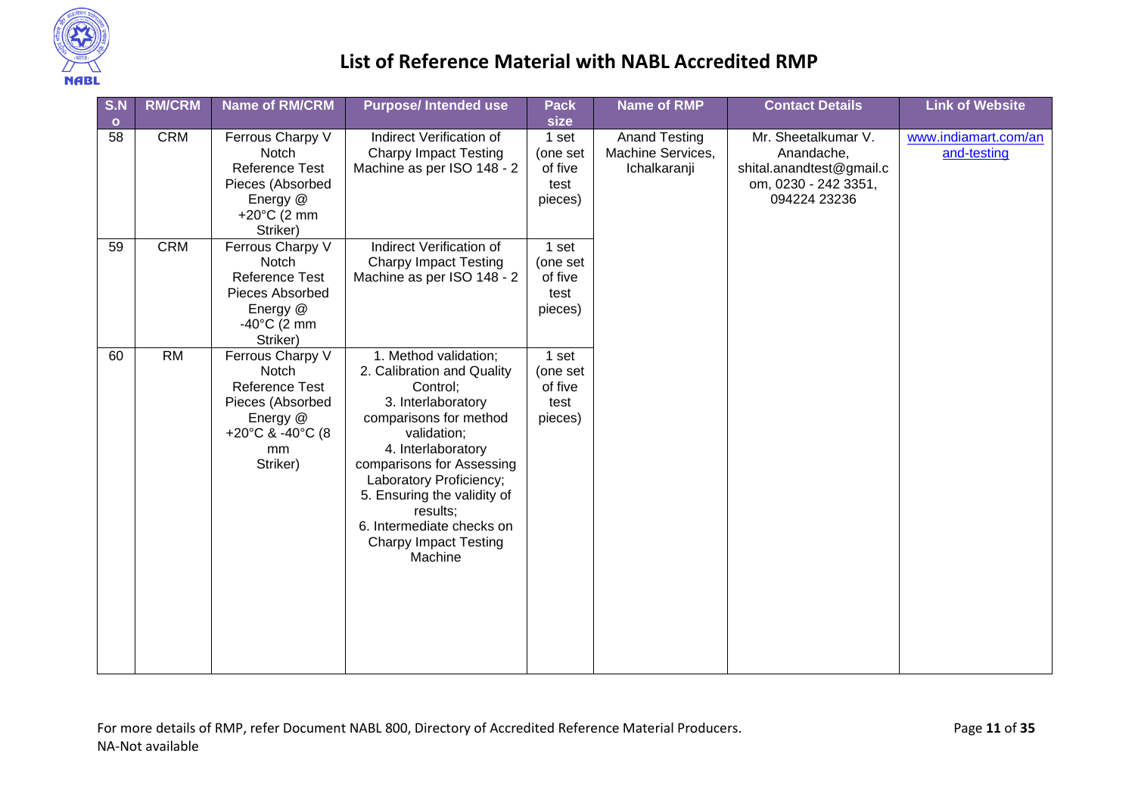

| S.N<br>$\bullet$ | <b>RM/CRM</b>   | <b>Name of RM/CRM</b>                                                                                                    | <b>Purpose/Intended use</b>                                                                                                                                                                                                                                                                                                     | <b>Pack</b><br>size                             | <b>Name of RMP</b>                                        | <b>Contact Details</b>                                                                                | <b>Link of Website</b>              |
|------------------|-----------------|--------------------------------------------------------------------------------------------------------------------------|---------------------------------------------------------------------------------------------------------------------------------------------------------------------------------------------------------------------------------------------------------------------------------------------------------------------------------|-------------------------------------------------|-----------------------------------------------------------|-------------------------------------------------------------------------------------------------------|-------------------------------------|
| 58               | <b>CRM</b>      | Ferrous Charpy V<br>Notch<br>Reference Test<br>Pieces (Absorbed<br>Energy @<br>+20 $^{\circ}$ C (2 mm<br>Striker)        | Indirect Verification of<br><b>Charpy Impact Testing</b><br>Machine as per ISO 148 - 2                                                                                                                                                                                                                                          | 1 set<br>(one set<br>of five<br>test<br>pieces) | <b>Anand Testing</b><br>Machine Services,<br>Ichalkaranji | Mr. Sheetalkumar V.<br>Anandache,<br>shital.anandtest@gmail.c<br>om, 0230 - 242 3351,<br>094224 23236 | www.indiamart.com/an<br>and-testing |
| 59               | <b>CRM</b>      | Ferrous Charpy V<br>Notch<br><b>Reference Test</b><br>Pieces Absorbed<br>Energy @<br>$-40^{\circ}$ C (2 mm<br>Striker)   | Indirect Verification of<br><b>Charpy Impact Testing</b><br>Machine as per ISO 148 - 2                                                                                                                                                                                                                                          | 1 set<br>(one set<br>of five<br>test<br>pieces) |                                                           |                                                                                                       |                                     |
| 60               | $\overline{RM}$ | Ferrous Charpy V<br>Notch<br><b>Reference Test</b><br>Pieces (Absorbed<br>Energy @<br>+20°C & -40°C (8<br>mm<br>Striker) | 1. Method validation;<br>2. Calibration and Quality<br>Control;<br>3. Interlaboratory<br>comparisons for method<br>validation;<br>4. Interlaboratory<br>comparisons for Assessing<br>Laboratory Proficiency;<br>5. Ensuring the validity of<br>results;<br>6. Intermediate checks on<br><b>Charpy Impact Testing</b><br>Machine | 1 set<br>(one set<br>of five<br>test<br>pieces) |                                                           |                                                                                                       |                                     |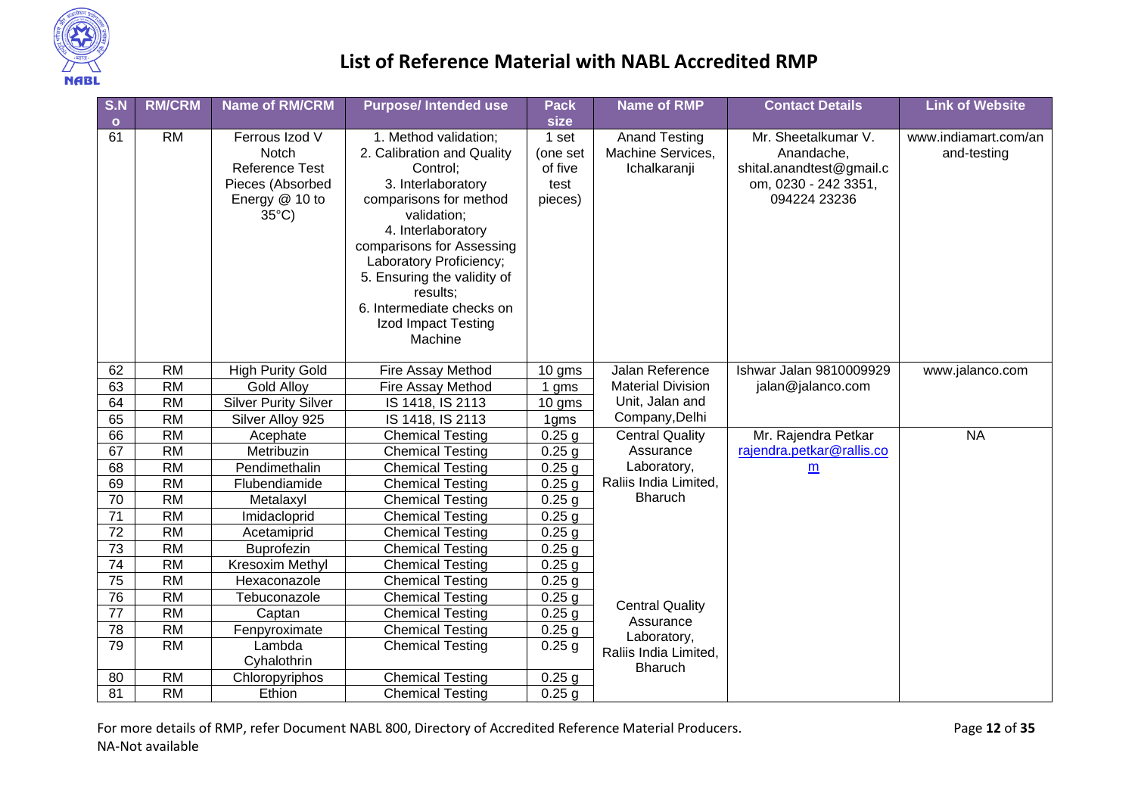

| S.N     | <b>RM/CRM</b>   | <b>Name of RM/CRM</b>         | <b>Purpose/Intended use</b>            | <b>Pack</b>         | <b>Name of RMP</b>                | <b>Contact Details</b>                 | <b>Link of Website</b> |
|---------|-----------------|-------------------------------|----------------------------------------|---------------------|-----------------------------------|----------------------------------------|------------------------|
| $\circ$ |                 |                               |                                        | size                |                                   |                                        |                        |
| 61      | <b>RM</b>       | Ferrous Izod V<br>Notch       | 1. Method validation;                  | 1 set               | <b>Anand Testing</b>              | Mr. Sheetalkumar V.                    | www.indiamart.com/an   |
|         |                 | <b>Reference Test</b>         | 2. Calibration and Quality<br>Control; | (one set<br>of five | Machine Services,<br>Ichalkaranji | Anandache,<br>shital.anandtest@gmail.c | and-testing            |
|         |                 | Pieces (Absorbed              | 3. Interlaboratory                     | test                |                                   | om, 0230 - 242 3351,                   |                        |
|         |                 | Energy @ 10 to                | comparisons for method                 | pieces)             |                                   | 094224 23236                           |                        |
|         |                 | $35^{\circ}$ C)               | validation;                            |                     |                                   |                                        |                        |
|         |                 |                               | 4. Interlaboratory                     |                     |                                   |                                        |                        |
|         |                 |                               | comparisons for Assessing              |                     |                                   |                                        |                        |
|         |                 |                               | Laboratory Proficiency;                |                     |                                   |                                        |                        |
|         |                 |                               | 5. Ensuring the validity of            |                     |                                   |                                        |                        |
|         |                 |                               | results:                               |                     |                                   |                                        |                        |
|         |                 |                               | 6. Intermediate checks on              |                     |                                   |                                        |                        |
|         |                 |                               | Izod Impact Testing                    |                     |                                   |                                        |                        |
|         |                 |                               | Machine                                |                     |                                   |                                        |                        |
| 62      | <b>RM</b>       | <b>High Purity Gold</b>       | Fire Assay Method                      | 10 gms              | Jalan Reference                   | Ishwar Jalan 9810009929                | www.jalanco.com        |
| 63      | $\overline{RM}$ | <b>Gold Alloy</b>             | Fire Assay Method                      | 1 gms               | <b>Material Division</b>          | jalan@jalanco.com                      |                        |
| 64      | $\overline{RM}$ | <b>Silver Purity Silver</b>   | IS 1418, IS 2113                       | 10 gms              | Unit, Jalan and                   |                                        |                        |
| 65      | $\overline{RM}$ | Silver Alloy 925              | IS 1418, IS 2113                       | 1gms                | Company, Delhi                    |                                        |                        |
| 66      | <b>RM</b>       | Acephate                      | <b>Chemical Testing</b>                | $0.25$ g            | <b>Central Quality</b>            | Mr. Rajendra Petkar                    | <b>NA</b>              |
| 67      | <b>RM</b>       | Metribuzin                    | <b>Chemical Testing</b>                | $0.25$ g            | Assurance                         | rajendra.petkar@rallis.co              |                        |
| 68      | <b>RM</b>       | Pendimethalin                 | <b>Chemical Testing</b>                | $0.25$ g            | Laboratory,                       | m                                      |                        |
| 69      | <b>RM</b>       | Flubendiamide                 | <b>Chemical Testing</b>                | 0.25 <sub>g</sub>   | Raliis India Limited,             |                                        |                        |
| 70      | <b>RM</b>       | Metalaxyl                     | <b>Chemical Testing</b>                | $0.25$ g            | Bharuch                           |                                        |                        |
| 71      | <b>RM</b>       | Imidacloprid                  | <b>Chemical Testing</b>                | $0.25$ g            |                                   |                                        |                        |
| 72      | <b>RM</b>       | Acetamiprid                   | <b>Chemical Testing</b>                | $0.25$ g            |                                   |                                        |                        |
| 73      | <b>RM</b>       | Buprofezin                    | <b>Chemical Testing</b>                | $0.25$ g            |                                   |                                        |                        |
| 74      | <b>RM</b>       | Kresoxim Methyl               | <b>Chemical Testing</b>                | $0.25$ g            |                                   |                                        |                        |
| 75      | <b>RM</b>       | Hexaconazole                  | <b>Chemical Testing</b>                | $0.25$ g            |                                   |                                        |                        |
| 76      | <b>RM</b>       | Tebuconazole                  | <b>Chemical Testing</b>                | $0.25$ g            | <b>Central Quality</b>            |                                        |                        |
| 77      | <b>RM</b>       | Captan                        | <b>Chemical Testing</b>                | $0.25$ g            | Assurance                         |                                        |                        |
| 78      | <b>RM</b>       | Fenpyroximate                 | <b>Chemical Testing</b>                | $0.25$ g            | Laboratory,                       |                                        |                        |
| 79      | <b>RM</b>       | Lambda                        | <b>Chemical Testing</b>                | $0.25$ g            | Raliis India Limited,             |                                        |                        |
| 80      | $\overline{RM}$ | Cyhalothrin<br>Chloropyriphos | <b>Chemical Testing</b>                | $0.25$ g            | <b>Bharuch</b>                    |                                        |                        |
| 81      | $\overline{RM}$ | Ethion                        | <b>Chemical Testing</b>                | $0.25$ g            |                                   |                                        |                        |
|         |                 |                               |                                        |                     |                                   |                                        |                        |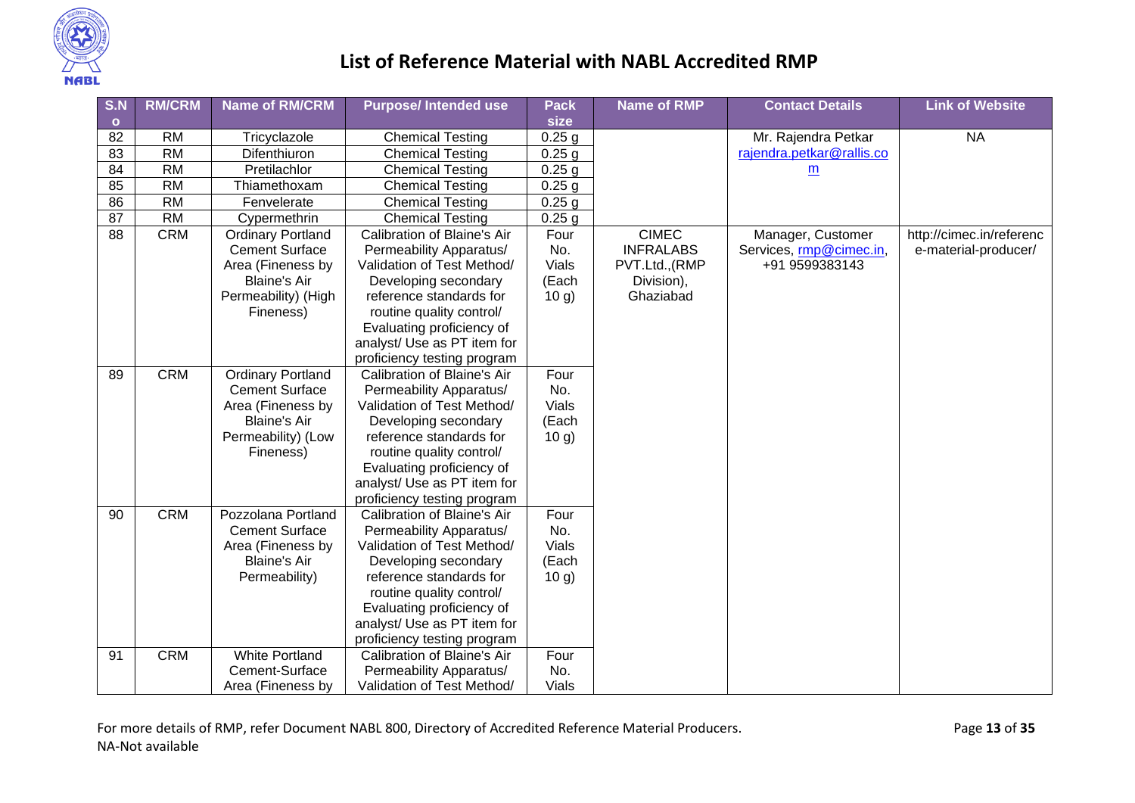

| S.N             | <b>RM/CRM</b>   | <b>Name of RM/CRM</b>    | <b>Purpose/Intended use</b> | Pack              | <b>Name of RMP</b> | <b>Contact Details</b>    | <b>Link of Website</b>   |
|-----------------|-----------------|--------------------------|-----------------------------|-------------------|--------------------|---------------------------|--------------------------|
| $\mathbf{o}$    |                 |                          |                             | size              |                    |                           |                          |
| 82              | <b>RM</b>       | Tricyclazole             | <b>Chemical Testing</b>     | $0.25$ g          |                    | Mr. Rajendra Petkar       | <b>NA</b>                |
| $\overline{83}$ | RM              | Difenthiuron             | <b>Chemical Testing</b>     | $0.25$ g          |                    | rajendra.petkar@rallis.co |                          |
| 84              | $\overline{RM}$ | Pretilachlor             | <b>Chemical Testing</b>     | $0.25$ g          |                    | $\underline{\mathsf{m}}$  |                          |
| 85              | <b>RM</b>       | Thiamethoxam             | <b>Chemical Testing</b>     | $0.25$ g          |                    |                           |                          |
| 86              | $\overline{RM}$ | Fenvelerate              | <b>Chemical Testing</b>     | $0.25$ g          |                    |                           |                          |
| $\overline{87}$ | $\overline{RM}$ | Cypermethrin             | <b>Chemical Testing</b>     | 0.25 <sub>g</sub> |                    |                           |                          |
| 88              | <b>CRM</b>      | <b>Ordinary Portland</b> | Calibration of Blaine's Air | Four              | <b>CIMEC</b>       | Manager, Customer         | http://cimec.in/referenc |
|                 |                 | <b>Cement Surface</b>    | Permeability Apparatus/     | No.               | <b>INFRALABS</b>   | Services, rmp@cimec.in,   | e-material-producer/     |
|                 |                 | Area (Fineness by        | Validation of Test Method/  | <b>Vials</b>      | PVT.Ltd., (RMP     | +91 9599383143            |                          |
|                 |                 | <b>Blaine's Air</b>      | Developing secondary        | (Each             | Division),         |                           |                          |
|                 |                 | Permeability) (High      | reference standards for     | 10 g)             | Ghaziabad          |                           |                          |
|                 |                 | Fineness)                | routine quality control/    |                   |                    |                           |                          |
|                 |                 |                          | Evaluating proficiency of   |                   |                    |                           |                          |
|                 |                 |                          | analyst/ Use as PT item for |                   |                    |                           |                          |
|                 |                 |                          | proficiency testing program |                   |                    |                           |                          |
| 89              | <b>CRM</b>      | <b>Ordinary Portland</b> | Calibration of Blaine's Air | Four              |                    |                           |                          |
|                 |                 | <b>Cement Surface</b>    | Permeability Apparatus/     | No.               |                    |                           |                          |
|                 |                 | Area (Fineness by        | Validation of Test Method/  | <b>Vials</b>      |                    |                           |                          |
|                 |                 | <b>Blaine's Air</b>      | Developing secondary        | (Each             |                    |                           |                          |
|                 |                 | Permeability) (Low       | reference standards for     | 10 g)             |                    |                           |                          |
|                 |                 | Fineness)                | routine quality control/    |                   |                    |                           |                          |
|                 |                 |                          | Evaluating proficiency of   |                   |                    |                           |                          |
|                 |                 |                          | analyst/ Use as PT item for |                   |                    |                           |                          |
|                 |                 |                          | proficiency testing program |                   |                    |                           |                          |
| 90              | <b>CRM</b>      | Pozzolana Portland       | Calibration of Blaine's Air | Four              |                    |                           |                          |
|                 |                 | <b>Cement Surface</b>    | Permeability Apparatus/     | No.               |                    |                           |                          |
|                 |                 | Area (Fineness by        | Validation of Test Method/  | <b>Vials</b>      |                    |                           |                          |
|                 |                 | <b>Blaine's Air</b>      | Developing secondary        | (Each             |                    |                           |                          |
|                 |                 | Permeability)            | reference standards for     | 10 g)             |                    |                           |                          |
|                 |                 |                          | routine quality control/    |                   |                    |                           |                          |
|                 |                 |                          | Evaluating proficiency of   |                   |                    |                           |                          |
|                 |                 |                          | analyst/ Use as PT item for |                   |                    |                           |                          |
|                 |                 |                          | proficiency testing program |                   |                    |                           |                          |
| 91              | <b>CRM</b>      | White Portland           | Calibration of Blaine's Air | Four              |                    |                           |                          |
|                 |                 | Cement-Surface           | Permeability Apparatus/     | No.               |                    |                           |                          |
|                 |                 | Area (Fineness by        | Validation of Test Method/  | Vials             |                    |                           |                          |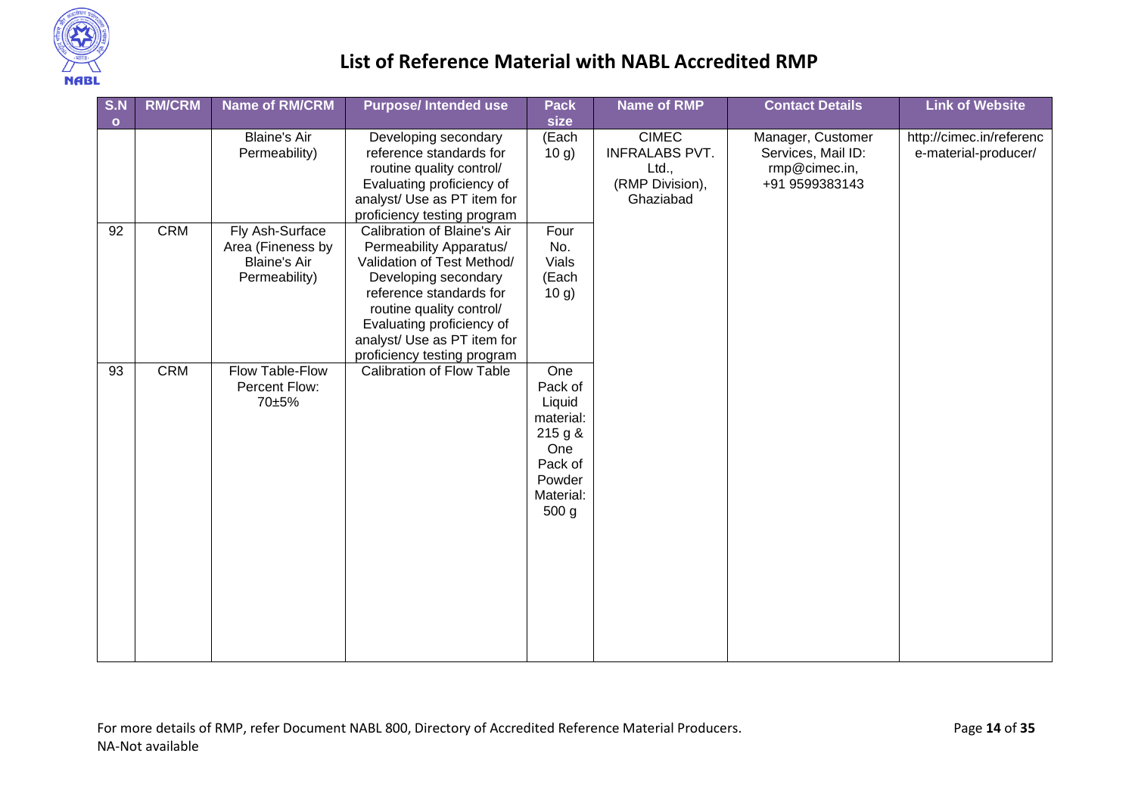

| S.N     | <b>RM/CRM</b> | <b>Name of RM/CRM</b>                                                        | <b>Purpose/Intended use</b>                                                                                                                                                                                                                                    | <b>Pack</b>                                                                                                   | <b>Name of RMP</b>                                                             | <b>Contact Details</b>                                                     | <b>Link of Website</b>                           |
|---------|---------------|------------------------------------------------------------------------------|----------------------------------------------------------------------------------------------------------------------------------------------------------------------------------------------------------------------------------------------------------------|---------------------------------------------------------------------------------------------------------------|--------------------------------------------------------------------------------|----------------------------------------------------------------------------|--------------------------------------------------|
| $\circ$ |               |                                                                              |                                                                                                                                                                                                                                                                | size                                                                                                          |                                                                                |                                                                            |                                                  |
|         |               | <b>Blaine's Air</b><br>Permeability)                                         | Developing secondary<br>reference standards for<br>routine quality control/<br>Evaluating proficiency of<br>analyst/ Use as PT item for<br>proficiency testing program                                                                                         | (Each<br>10 g)                                                                                                | <b>CIMEC</b><br><b>INFRALABS PVT.</b><br>Ltd.,<br>(RMP Division),<br>Ghaziabad | Manager, Customer<br>Services, Mail ID:<br>rmp@cimec.in,<br>+91 9599383143 | http://cimec.in/referenc<br>e-material-producer/ |
| 92      | <b>CRM</b>    | Fly Ash-Surface<br>Area (Fineness by<br><b>Blaine's Air</b><br>Permeability) | Calibration of Blaine's Air<br>Permeability Apparatus/<br>Validation of Test Method/<br>Developing secondary<br>reference standards for<br>routine quality control/<br>Evaluating proficiency of<br>analyst/ Use as PT item for<br>proficiency testing program | Four<br>No.<br><b>Vials</b><br>(Each<br>10 g)                                                                 |                                                                                |                                                                            |                                                  |
| 93      | <b>CRM</b>    | Flow Table-Flow<br>Percent Flow:<br>70±5%                                    | Calibration of Flow Table                                                                                                                                                                                                                                      | One<br>Pack of<br>Liquid<br>material:<br>215 g &<br>One<br>Pack of<br>Powder<br>Material:<br>500 <sub>g</sub> |                                                                                |                                                                            |                                                  |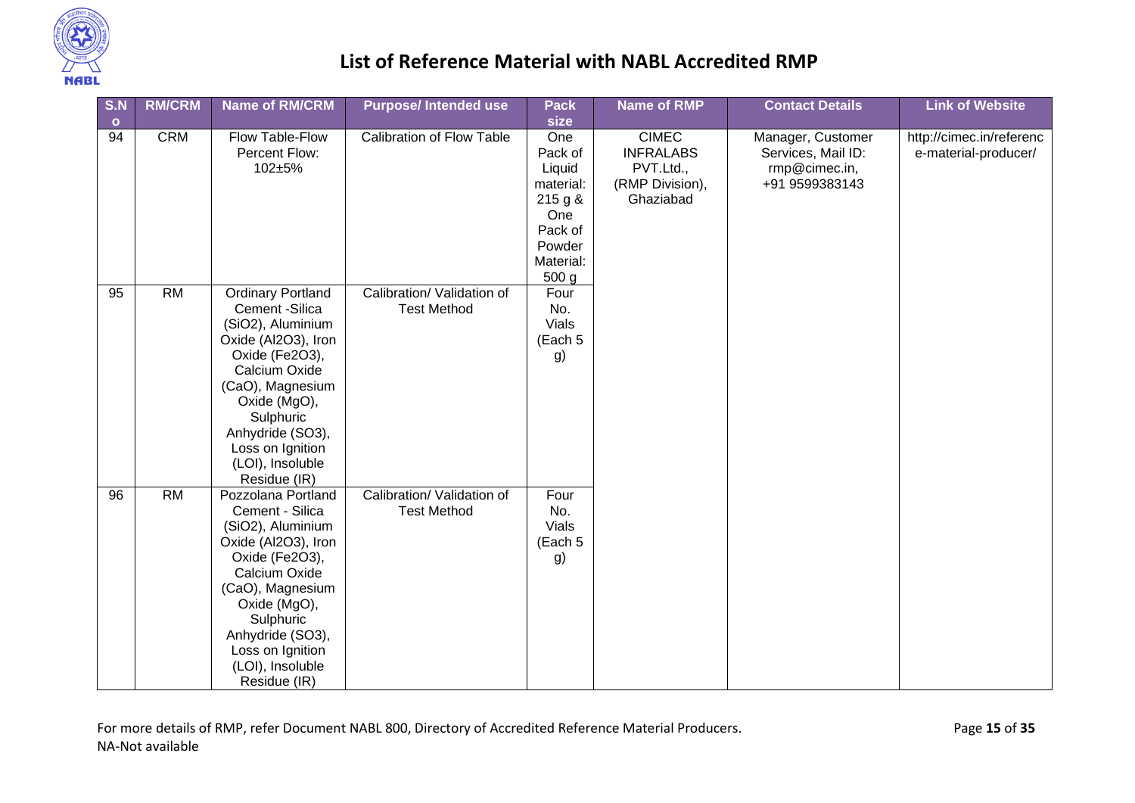

| S.N           | <b>RM/CRM</b> | <b>Name of RM/CRM</b>                                                                                                                                                                                                                                  | <b>Purpose/Intended use</b>                      | <b>Pack</b>                                                                                       | <b>Name of RMP</b>                                                            | <b>Contact Details</b>                                                     | <b>Link of Website</b>                           |
|---------------|---------------|--------------------------------------------------------------------------------------------------------------------------------------------------------------------------------------------------------------------------------------------------------|--------------------------------------------------|---------------------------------------------------------------------------------------------------|-------------------------------------------------------------------------------|----------------------------------------------------------------------------|--------------------------------------------------|
| $\circ$<br>94 | <b>CRM</b>    | Flow Table-Flow<br>Percent Flow:<br>102±5%                                                                                                                                                                                                             | Calibration of Flow Table                        | size<br>One<br>Pack of<br>Liquid<br>material:<br>215 g &<br>One<br>Pack of<br>Powder<br>Material: | <b>CIMEC</b><br><b>INFRALABS</b><br>PVT.Ltd.,<br>(RMP Division),<br>Ghaziabad | Manager, Customer<br>Services, Mail ID:<br>rmp@cimec.in,<br>+91 9599383143 | http://cimec.in/referenc<br>e-material-producer/ |
| 95            | <b>RM</b>     | <b>Ordinary Portland</b><br>Cement -Silica<br>(SiO2), Aluminium<br>Oxide (Al2O3), Iron<br>Oxide (Fe2O3),<br>Calcium Oxide<br>(CaO), Magnesium<br>Oxide (MgO),<br>Sulphuric<br>Anhydride (SO3),<br>Loss on Ignition<br>(LOI), Insoluble<br>Residue (IR) | Calibration/ Validation of<br><b>Test Method</b> | 500 g<br>Four<br>No.<br>Vials<br>(Each 5<br>g)                                                    |                                                                               |                                                                            |                                                  |
| 96            | <b>RM</b>     | Pozzolana Portland<br>Cement - Silica<br>(SiO2), Aluminium<br>Oxide (Al2O3), Iron<br>Oxide (Fe2O3),<br>Calcium Oxide<br>(CaO), Magnesium<br>Oxide (MgO),<br>Sulphuric<br>Anhydride (SO3),<br>Loss on Ignition<br>(LOI), Insoluble<br>Residue (IR)      | Calibration/ Validation of<br><b>Test Method</b> | Four<br>No.<br>Vials<br>(Each 5<br>g)                                                             |                                                                               |                                                                            |                                                  |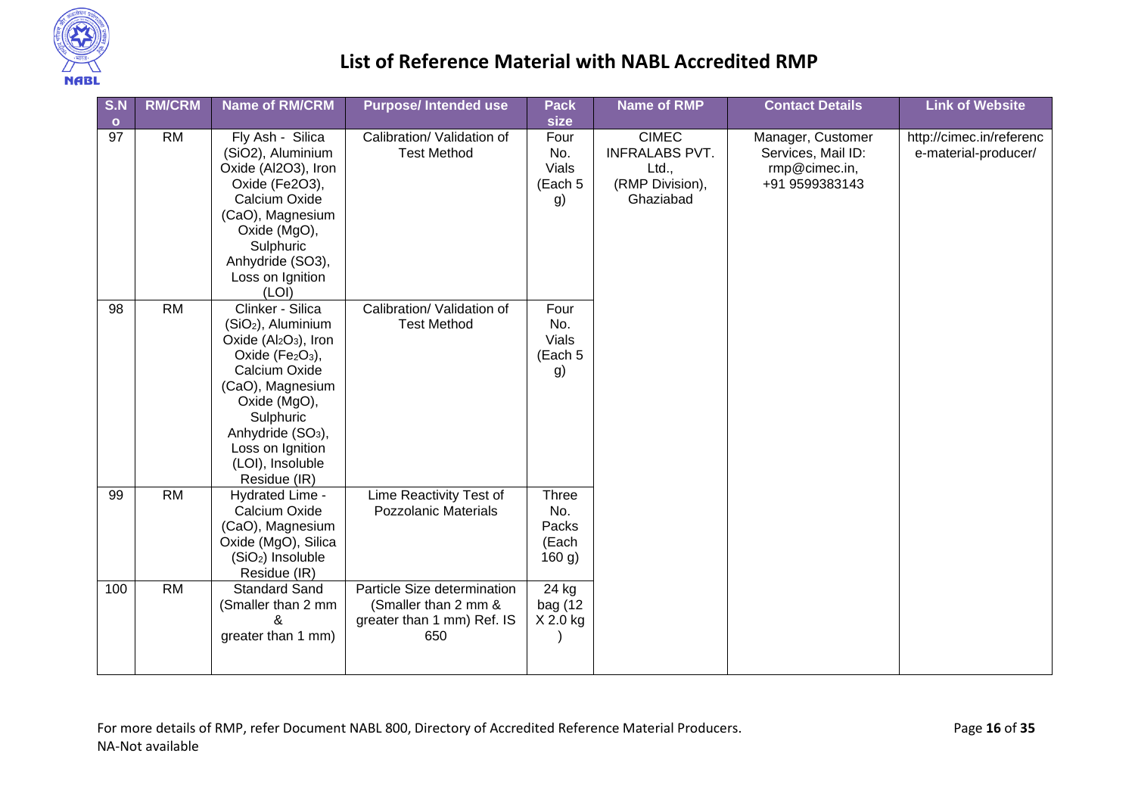

| S.N<br>$\bullet$ | <b>RM/CRM</b>   | <b>Name of RM/CRM</b>                                                                                                                                                                                                                                     | <b>Purpose/Intended use</b>                                                              | <b>Pack</b><br>size                             | <b>Name of RMP</b>                                                             | <b>Contact Details</b>                                                     | <b>Link of Website</b>                           |
|------------------|-----------------|-----------------------------------------------------------------------------------------------------------------------------------------------------------------------------------------------------------------------------------------------------------|------------------------------------------------------------------------------------------|-------------------------------------------------|--------------------------------------------------------------------------------|----------------------------------------------------------------------------|--------------------------------------------------|
| 97               | <b>RM</b>       | Fly Ash - Silica<br>(SiO2), Aluminium<br>Oxide (Al2O3), Iron<br>Oxide (Fe2O3),<br>Calcium Oxide<br>(CaO), Magnesium<br>Oxide (MgO),<br>Sulphuric<br>Anhydride (SO3),<br>Loss on Ignition<br>(LOI)                                                         | Calibration/ Validation of<br><b>Test Method</b>                                         | Four<br>No.<br><b>Vials</b><br>(Each 5<br>g)    | <b>CIMEC</b><br><b>INFRALABS PVT.</b><br>Ltd.,<br>(RMP Division),<br>Ghaziabad | Manager, Customer<br>Services, Mail ID:<br>rmp@cimec.in,<br>+91 9599383143 | http://cimec.in/referenc<br>e-material-producer/ |
| 98               | <b>RM</b>       | Clinker - Silica<br>(SiO <sub>2</sub> ), Aluminium<br>Oxide $(Al2O3)$ , Iron<br>Oxide (Fe2O3),<br>Calcium Oxide<br>(CaO), Magnesium<br>Oxide (MgO),<br>Sulphuric<br>Anhydride (SO <sub>3</sub> ),<br>Loss on Ignition<br>(LOI), Insoluble<br>Residue (IR) | Calibration/ Validation of<br><b>Test Method</b>                                         | Four<br>No.<br>Vials<br>(Each 5<br>g)           |                                                                                |                                                                            |                                                  |
| 99               | $\overline{RM}$ | Hydrated Lime -<br>Calcium Oxide<br>(CaO), Magnesium<br>Oxide (MgO), Silica<br>(SiO <sub>2</sub> ) Insoluble<br>Residue (IR)                                                                                                                              | Lime Reactivity Test of<br><b>Pozzolanic Materials</b>                                   | <b>Three</b><br>No.<br>Packs<br>(Each<br>160 g) |                                                                                |                                                                            |                                                  |
| 100              | <b>RM</b>       | <b>Standard Sand</b><br>(Smaller than 2 mm<br>&<br>greater than 1 mm)                                                                                                                                                                                     | Particle Size determination<br>(Smaller than 2 mm &<br>greater than 1 mm) Ref. IS<br>650 | 24 kg<br>bag (12<br>X 2.0 kg                    |                                                                                |                                                                            |                                                  |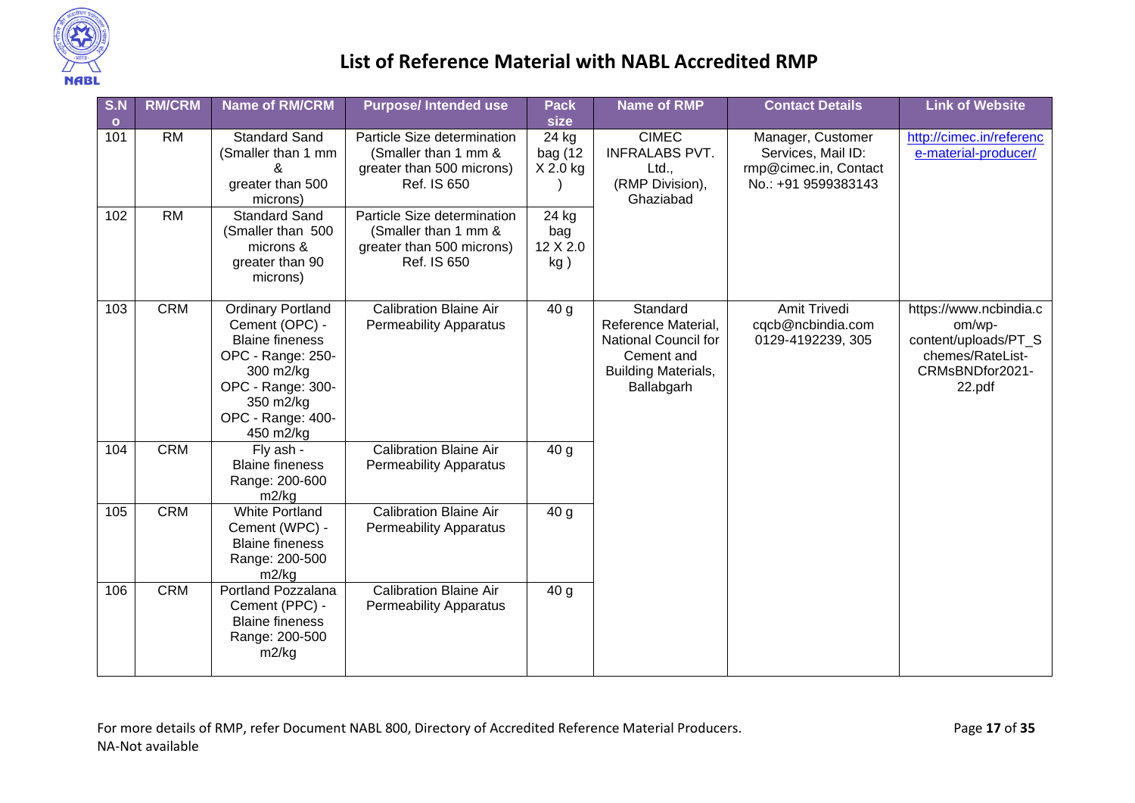

| S.N          | <b>RM/CRM</b> | <b>Name of RM/CRM</b>                                                                                                                                                      | <b>Purpose/Intended use</b>                                                                     | <b>Pack</b>                     | <b>Name of RMP</b>                                                                                                | <b>Contact Details</b>                                                                  | <b>Link of Website</b>                                                                                    |
|--------------|---------------|----------------------------------------------------------------------------------------------------------------------------------------------------------------------------|-------------------------------------------------------------------------------------------------|---------------------------------|-------------------------------------------------------------------------------------------------------------------|-----------------------------------------------------------------------------------------|-----------------------------------------------------------------------------------------------------------|
| $\mathbf{o}$ |               |                                                                                                                                                                            |                                                                                                 | size                            |                                                                                                                   |                                                                                         |                                                                                                           |
| 101          | <b>RM</b>     | <b>Standard Sand</b><br>(Smaller than 1 mm<br>greater than 500<br>microns)                                                                                                 | Particle Size determination<br>(Smaller than 1 mm &<br>greater than 500 microns)<br>Ref. IS 650 | 24 kg<br>bag (12<br>X 2.0 kg    | <b>CIMEC</b><br><b>INFRALABS PVT.</b><br>Ltd.,<br>(RMP Division),<br>Ghaziabad                                    | Manager, Customer<br>Services, Mail ID:<br>rmp@cimec.in, Contact<br>No.: +91 9599383143 | http://cimec.in/referenc<br>e-material-producer/                                                          |
| 102          | <b>RM</b>     | <b>Standard Sand</b><br>(Smaller than 500<br>microns &<br>greater than 90<br>microns)                                                                                      | Particle Size determination<br>(Smaller than 1 mm &<br>greater than 500 microns)<br>Ref. IS 650 | 24 kg<br>bag<br>12 X 2.0<br>kg) |                                                                                                                   |                                                                                         |                                                                                                           |
| 103          | <b>CRM</b>    | <b>Ordinary Portland</b><br>Cement (OPC) -<br><b>Blaine fineness</b><br>OPC - Range: 250-<br>300 m2/kg<br>OPC - Range: 300-<br>350 m2/kg<br>OPC - Range: 400-<br>450 m2/kg | <b>Calibration Blaine Air</b><br><b>Permeability Apparatus</b>                                  | 40 <sub>g</sub>                 | Standard<br>Reference Material,<br>National Council for<br>Cement and<br><b>Building Materials,</b><br>Ballabgarh | <b>Amit Trivedi</b><br>cqcb@ncbindia.com<br>0129-4192239, 305                           | https://www.ncbindia.c<br>om/wp-<br>content/uploads/PT_S<br>chemes/RateList-<br>CRMsBNDfor2021-<br>22.pdf |
| 104          | <b>CRM</b>    | Fly ash -<br><b>Blaine fineness</b><br>Range: 200-600<br>m2/kg                                                                                                             | <b>Calibration Blaine Air</b><br><b>Permeability Apparatus</b>                                  | 40 <sub>g</sub>                 |                                                                                                                   |                                                                                         |                                                                                                           |
| 105          | <b>CRM</b>    | <b>White Portland</b><br>Cement (WPC) -<br><b>Blaine fineness</b><br>Range: 200-500<br>m2/kg                                                                               | <b>Calibration Blaine Air</b><br><b>Permeability Apparatus</b>                                  | 40 <sub>g</sub>                 |                                                                                                                   |                                                                                         |                                                                                                           |
| 106          | <b>CRM</b>    | Portland Pozzalana<br>Cement (PPC) -<br><b>Blaine fineness</b><br>Range: 200-500<br>m2/kg                                                                                  | <b>Calibration Blaine Air</b><br><b>Permeability Apparatus</b>                                  | 40 <sub>g</sub>                 |                                                                                                                   |                                                                                         |                                                                                                           |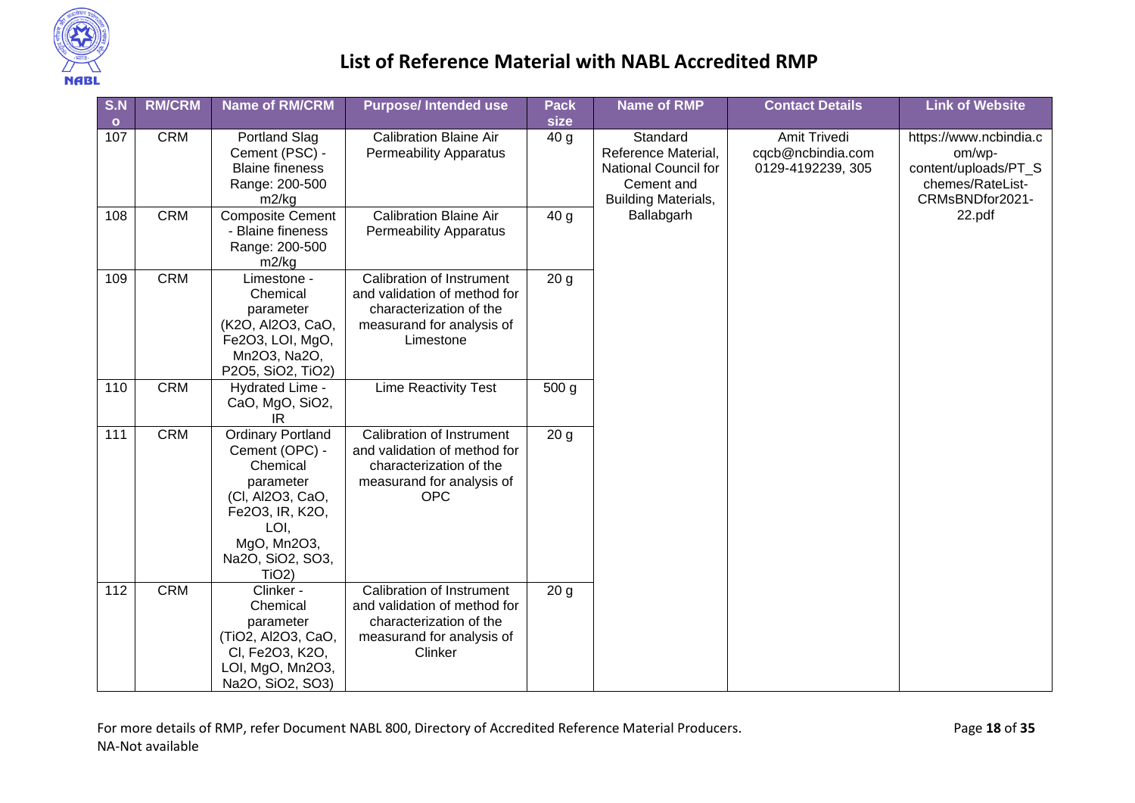

| S.N     | <b>RM/CRM</b> | <b>Name of RM/CRM</b>                                                                                                                                             | <b>Purpose/Intended use</b>                                                                                                            | <b>Pack</b>      | <b>Name of RMP</b>                                                                                  | <b>Contact Details</b>                 | <b>Link of Website</b>                                                                          |
|---------|---------------|-------------------------------------------------------------------------------------------------------------------------------------------------------------------|----------------------------------------------------------------------------------------------------------------------------------------|------------------|-----------------------------------------------------------------------------------------------------|----------------------------------------|-------------------------------------------------------------------------------------------------|
| $\circ$ |               |                                                                                                                                                                   |                                                                                                                                        | size             |                                                                                                     | Amit Trivedi                           |                                                                                                 |
| 107     | <b>CRM</b>    | <b>Portland Slag</b><br>Cement (PSC) -<br><b>Blaine fineness</b><br>Range: 200-500<br>m2/kg                                                                       | <b>Calibration Blaine Air</b><br><b>Permeability Apparatus</b>                                                                         | 40 <sub>g</sub>  | Standard<br>Reference Material,<br>National Council for<br>Cement and<br><b>Building Materials,</b> | cqcb@ncbindia.com<br>0129-4192239, 305 | https://www.ncbindia.c<br>om/wp-<br>content/uploads/PT_S<br>chemes/RateList-<br>CRMsBNDfor2021- |
| 108     | <b>CRM</b>    | <b>Composite Cement</b><br>- Blaine fineness<br>Range: 200-500<br>m2/kg                                                                                           | <b>Calibration Blaine Air</b><br><b>Permeability Apparatus</b>                                                                         | 40 <sub>g</sub>  | Ballabgarh                                                                                          |                                        | 22.pdf                                                                                          |
| 109     | <b>CRM</b>    | Limestone -<br>Chemical<br>parameter<br>(K2O, Al2O3, CaO,<br>Fe2O3, LOI, MgO,<br>Mn2O3, Na2O,<br>P2O5, SiO2, TiO2)                                                | Calibration of Instrument<br>and validation of method for<br>characterization of the<br>measurand for analysis of<br>Limestone         | 20 <sub>g</sub>  |                                                                                                     |                                        |                                                                                                 |
| 110     | <b>CRM</b>    | Hydrated Lime -<br>CaO, MgO, SiO2,<br>IR                                                                                                                          | <b>Lime Reactivity Test</b>                                                                                                            | 500 <sub>g</sub> |                                                                                                     |                                        |                                                                                                 |
| 111     | <b>CRM</b>    | <b>Ordinary Portland</b><br>Cement (OPC) -<br>Chemical<br>parameter<br>(CI, Al2O3, CaO,<br>Fe2O3, IR, K2O,<br>LOI,<br>MgO, Mn2O3,<br>Na2O, SiO2, SO3,<br>$TiO2$ ) | <b>Calibration of Instrument</b><br>and validation of method for<br>characterization of the<br>measurand for analysis of<br><b>OPC</b> | 20 <sub>g</sub>  |                                                                                                     |                                        |                                                                                                 |
| 112     | <b>CRM</b>    | Clinker -<br>Chemical<br>parameter<br>(TiO2, Al2O3, CaO,<br>CI, Fe2O3, K2O,<br>LOI, MgO, Mn2O3,<br>Na2O, SiO2, SO3)                                               | Calibration of Instrument<br>and validation of method for<br>characterization of the<br>measurand for analysis of<br>Clinker           | 20 <sub>g</sub>  |                                                                                                     |                                        |                                                                                                 |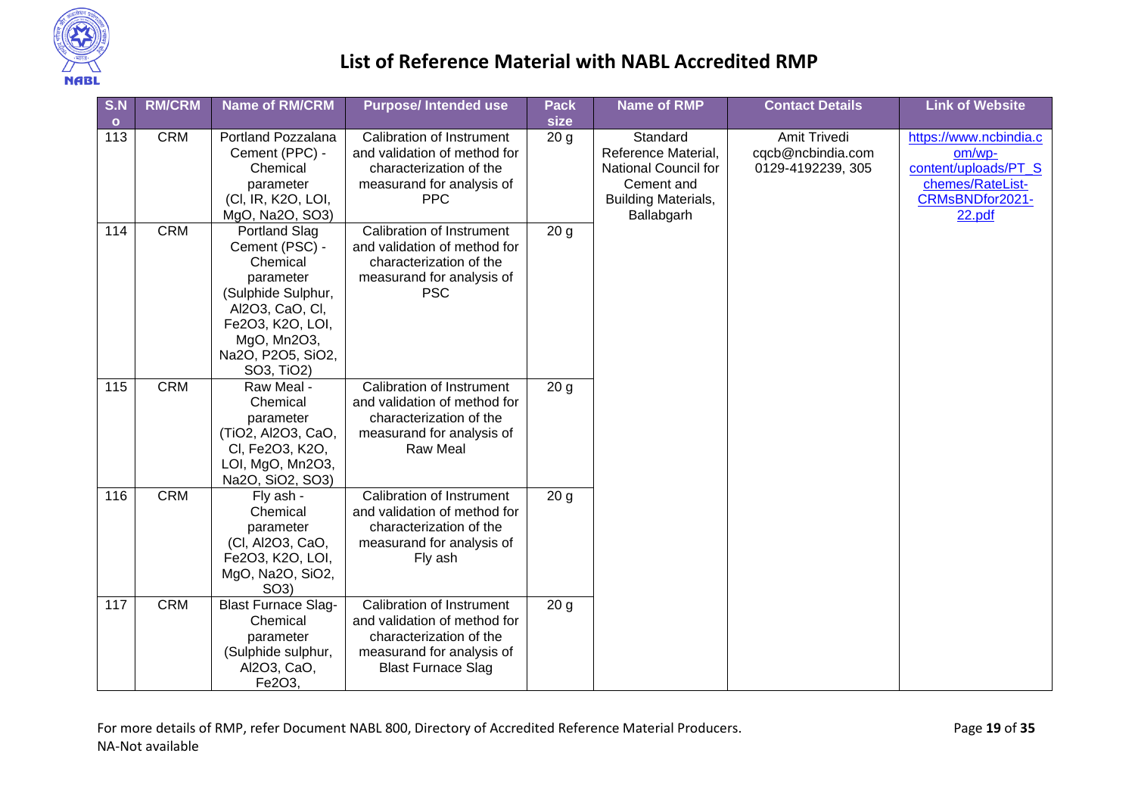

| S.N       | <b>RM/CRM</b> | <b>Name of RM/CRM</b>               | <b>Purpose/Intended use</b>             | <b>Pack</b>     | <b>Name of RMP</b>         | <b>Contact Details</b> | <b>Link of Website</b> |
|-----------|---------------|-------------------------------------|-----------------------------------------|-----------------|----------------------------|------------------------|------------------------|
| $\bullet$ |               |                                     |                                         | size            |                            |                        |                        |
| 113       | <b>CRM</b>    | Portland Pozzalana                  | Calibration of Instrument               | 20 <sub>g</sub> | Standard                   | Amit Trivedi           | https://www.ncbindia.c |
|           |               | Cement (PPC) -                      | and validation of method for            |                 | Reference Material,        | cqcb@ncbindia.com      | om/wp-                 |
|           |               | Chemical                            | characterization of the                 |                 | National Council for       | 0129-4192239, 305      | content/uploads/PT_S   |
|           |               | parameter                           | measurand for analysis of               |                 | Cement and                 |                        | chemes/RateList-       |
|           |               | (CI, IR, K2O, LOI,                  | <b>PPC</b>                              |                 | <b>Building Materials,</b> |                        | CRMsBNDfor2021-        |
|           |               | MgO, Na2O, SO3)                     |                                         |                 | Ballabgarh                 |                        | 22.pdf                 |
| 114       | <b>CRM</b>    | <b>Portland Slag</b>                | Calibration of Instrument               | 20 <sub>g</sub> |                            |                        |                        |
|           |               | Cement (PSC) -                      | and validation of method for            |                 |                            |                        |                        |
|           |               | Chemical                            | characterization of the                 |                 |                            |                        |                        |
|           |               | parameter                           | measurand for analysis of<br><b>PSC</b> |                 |                            |                        |                        |
|           |               | (Sulphide Sulphur,                  |                                         |                 |                            |                        |                        |
|           |               | Al2O3, CaO, CI,<br>Fe2O3, K2O, LOI, |                                         |                 |                            |                        |                        |
|           |               | MgO, Mn2O3,                         |                                         |                 |                            |                        |                        |
|           |               | Na2O, P2O5, SiO2,                   |                                         |                 |                            |                        |                        |
|           |               | SO3, TiO2)                          |                                         |                 |                            |                        |                        |
| 115       | <b>CRM</b>    | Raw Meal -                          | Calibration of Instrument               | 20 <sub>g</sub> |                            |                        |                        |
|           |               | Chemical                            | and validation of method for            |                 |                            |                        |                        |
|           |               | parameter                           | characterization of the                 |                 |                            |                        |                        |
|           |               | (TiO2, Al2O3, CaO,                  | measurand for analysis of               |                 |                            |                        |                        |
|           |               | CI, Fe2O3, K2O,                     | <b>Raw Meal</b>                         |                 |                            |                        |                        |
|           |               | LOI, MgO, Mn2O3,                    |                                         |                 |                            |                        |                        |
|           |               | Na2O, SiO2, SO3)                    |                                         |                 |                            |                        |                        |
| 116       | <b>CRM</b>    | Fly ash -                           | Calibration of Instrument               | 20 <sub>g</sub> |                            |                        |                        |
|           |               | Chemical                            | and validation of method for            |                 |                            |                        |                        |
|           |               | parameter                           | characterization of the                 |                 |                            |                        |                        |
|           |               | (CI, Al2O3, CaO,                    | measurand for analysis of               |                 |                            |                        |                        |
|           |               | Fe2O3, K2O, LOI,                    | Fly ash                                 |                 |                            |                        |                        |
|           |               | MgO, Na2O, SiO2,                    |                                         |                 |                            |                        |                        |
|           |               | SO <sub>3</sub>                     |                                         |                 |                            |                        |                        |
| 117       | <b>CRM</b>    | <b>Blast Furnace Slag-</b>          | Calibration of Instrument               | 20 <sub>g</sub> |                            |                        |                        |
|           |               | Chemical                            | and validation of method for            |                 |                            |                        |                        |
|           |               | parameter                           | characterization of the                 |                 |                            |                        |                        |
|           |               | (Sulphide sulphur,                  | measurand for analysis of               |                 |                            |                        |                        |
|           |               | Al2O3, CaO,<br>Fe2O3,               | <b>Blast Furnace Slag</b>               |                 |                            |                        |                        |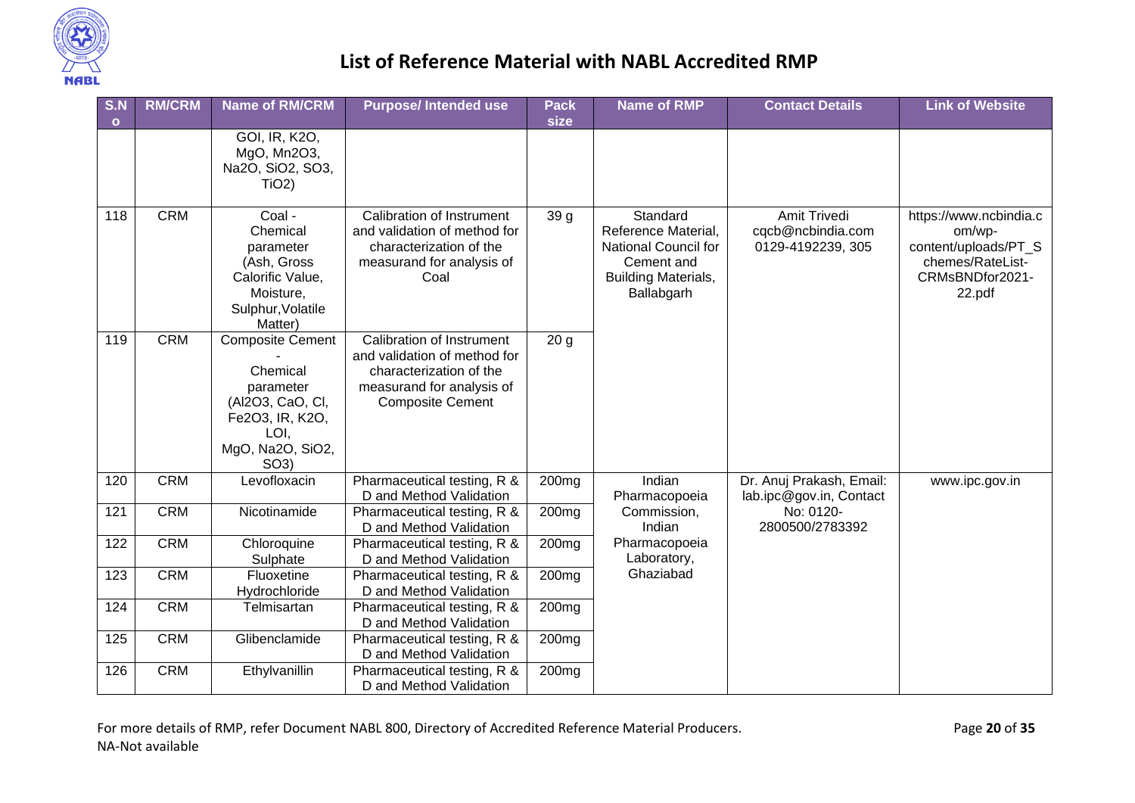

| S.N<br>$\mathbf{o}$ | <b>RM/CRM</b> | <b>Name of RM/CRM</b>                                                                                                                    | <b>Purpose/Intended use</b>                                                                                                                  | <b>Pack</b><br>size | <b>Name of RMP</b>                                                                                                | <b>Contact Details</b>                                 | <b>Link of Website</b>                                                                                    |
|---------------------|---------------|------------------------------------------------------------------------------------------------------------------------------------------|----------------------------------------------------------------------------------------------------------------------------------------------|---------------------|-------------------------------------------------------------------------------------------------------------------|--------------------------------------------------------|-----------------------------------------------------------------------------------------------------------|
|                     |               | GOI, IR, K2O,<br>MgO, Mn2O3,<br>Na2O, SiO2, SO3,<br>$TiO2$ )                                                                             |                                                                                                                                              |                     |                                                                                                                   |                                                        |                                                                                                           |
| 118                 | <b>CRM</b>    | Coal -<br>Chemical<br>parameter<br>(Ash, Gross<br>Calorific Value,<br>Moisture,<br>Sulphur, Volatile<br>Matter)                          | Calibration of Instrument<br>and validation of method for<br>characterization of the<br>measurand for analysis of<br>Coal                    | 39 g                | Standard<br>Reference Material,<br>National Council for<br>Cement and<br><b>Building Materials,</b><br>Ballabgarh | Amit Trivedi<br>cqcb@ncbindia.com<br>0129-4192239, 305 | https://www.ncbindia.c<br>om/wp-<br>content/uploads/PT_S<br>chemes/RateList-<br>CRMsBNDfor2021-<br>22.pdf |
| 119                 | <b>CRM</b>    | <b>Composite Cement</b><br>Chemical<br>parameter<br>(Al2O3, CaO, CI,<br>Fe2O3, IR, K2O,<br>LOI,<br>MgO, Na2O, SiO2,<br>SO <sub>3</sub> ) | Calibration of Instrument<br>and validation of method for<br>characterization of the<br>measurand for analysis of<br><b>Composite Cement</b> | 20 <sub>g</sub>     |                                                                                                                   |                                                        |                                                                                                           |
| 120                 | <b>CRM</b>    | Levofloxacin                                                                                                                             | Pharmaceutical testing, R &<br>D and Method Validation                                                                                       | 200 <sub>mg</sub>   | Indian<br>Pharmacopoeia                                                                                           | Dr. Anuj Prakash, Email:<br>lab.ipc@gov.in, Contact    | www.ipc.gov.in                                                                                            |
| 121                 | <b>CRM</b>    | Nicotinamide                                                                                                                             | Pharmaceutical testing, R &<br>D and Method Validation                                                                                       | 200 <sub>mg</sub>   | Commission,<br>Indian                                                                                             | No: 0120-<br>2800500/2783392                           |                                                                                                           |
| 122                 | <b>CRM</b>    | Chloroquine<br>Sulphate                                                                                                                  | Pharmaceutical testing, R &<br>D and Method Validation                                                                                       | 200mg               | Pharmacopoeia<br>Laboratory,                                                                                      |                                                        |                                                                                                           |
| 123                 | <b>CRM</b>    | Fluoxetine<br>Hydrochloride                                                                                                              | Pharmaceutical testing, R &<br>D and Method Validation                                                                                       | 200 <sub>mg</sub>   | Ghaziabad                                                                                                         |                                                        |                                                                                                           |
| 124                 | <b>CRM</b>    | Telmisartan                                                                                                                              | Pharmaceutical testing, R &<br>D and Method Validation                                                                                       | 200mg               |                                                                                                                   |                                                        |                                                                                                           |
| 125                 | <b>CRM</b>    | Glibenclamide                                                                                                                            | Pharmaceutical testing, R &<br>D and Method Validation                                                                                       | 200 <sub>mg</sub>   |                                                                                                                   |                                                        |                                                                                                           |
| 126                 | <b>CRM</b>    | Ethylvanillin                                                                                                                            | Pharmaceutical testing, R &<br>D and Method Validation                                                                                       | 200 <sub>mg</sub>   |                                                                                                                   |                                                        |                                                                                                           |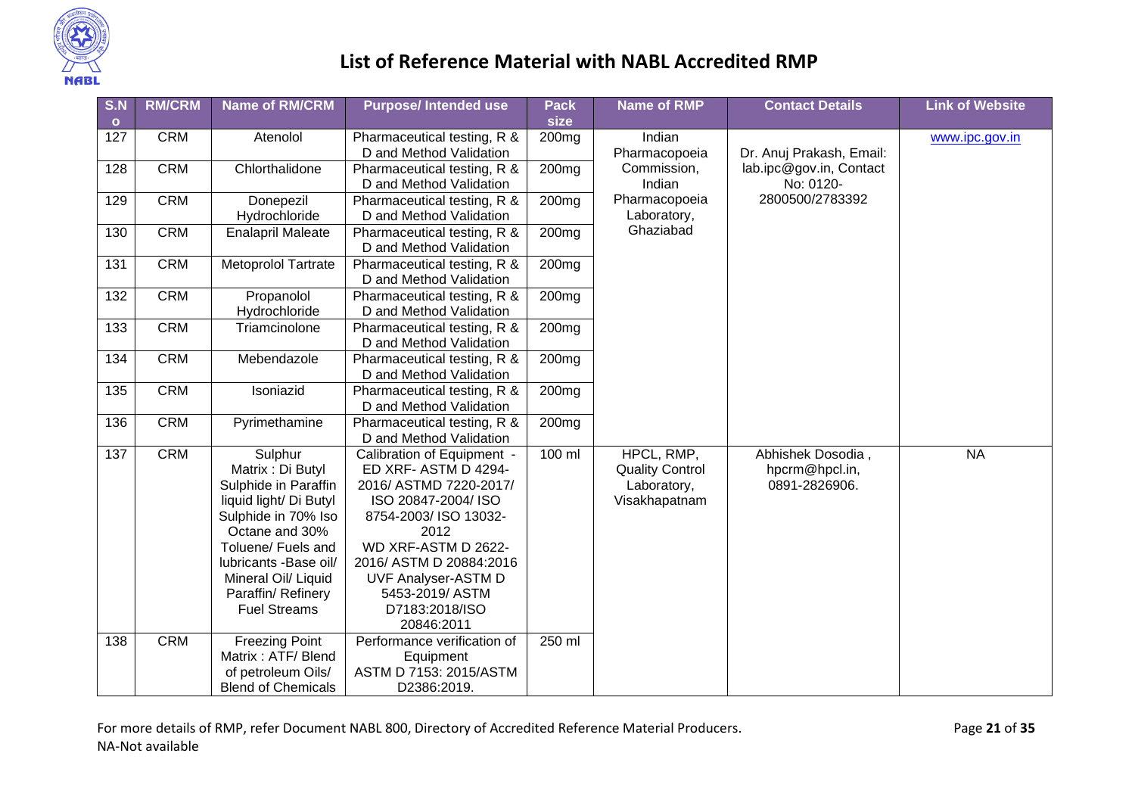

| S.N              | <b>RM/CRM</b> | <b>Name of RM/CRM</b>      | <b>Purpose/Intended use</b> | <b>Pack</b>       | <b>Name of RMP</b>     | <b>Contact Details</b>   | <b>Link of Website</b> |
|------------------|---------------|----------------------------|-----------------------------|-------------------|------------------------|--------------------------|------------------------|
| $\bullet$        |               |                            |                             | size              |                        |                          |                        |
| 127              | <b>CRM</b>    | Atenolol                   | Pharmaceutical testing, R & | 200 <sub>mg</sub> | Indian                 |                          | www.ipc.gov.in         |
|                  |               |                            | D and Method Validation     |                   | Pharmacopoeia          | Dr. Anuj Prakash, Email: |                        |
| 128              | <b>CRM</b>    | Chlorthalidone             | Pharmaceutical testing, R & | 200 <sub>mg</sub> | Commission,            | lab.ipc@gov.in, Contact  |                        |
|                  |               |                            | D and Method Validation     |                   | Indian                 | No: 0120-                |                        |
| 129              | <b>CRM</b>    | Donepezil                  | Pharmaceutical testing, R & | 200 <sub>mg</sub> | Pharmacopoeia          | 2800500/2783392          |                        |
|                  |               | Hydrochloride              | D and Method Validation     |                   | Laboratory,            |                          |                        |
| 130              | <b>CRM</b>    | <b>Enalapril Maleate</b>   | Pharmaceutical testing, R & | 200 <sub>mg</sub> | Ghaziabad              |                          |                        |
|                  |               |                            | D and Method Validation     |                   |                        |                          |                        |
| 131              | <b>CRM</b>    | <b>Metoprolol Tartrate</b> | Pharmaceutical testing, R & | 200 <sub>mg</sub> |                        |                          |                        |
|                  |               |                            | D and Method Validation     |                   |                        |                          |                        |
| 132              | <b>CRM</b>    | Propanolol                 | Pharmaceutical testing, R & | 200 <sub>mg</sub> |                        |                          |                        |
|                  |               | Hydrochloride              | D and Method Validation     |                   |                        |                          |                        |
| $\overline{133}$ | <b>CRM</b>    | Triamcinolone              | Pharmaceutical testing, R & | 200mg             |                        |                          |                        |
|                  |               |                            | D and Method Validation     |                   |                        |                          |                        |
| 134              | <b>CRM</b>    | Mebendazole                | Pharmaceutical testing, R & | 200 <sub>mg</sub> |                        |                          |                        |
|                  |               |                            | D and Method Validation     |                   |                        |                          |                        |
| 135              | <b>CRM</b>    | Isoniazid                  | Pharmaceutical testing, R & | 200 <sub>mg</sub> |                        |                          |                        |
|                  |               |                            | D and Method Validation     |                   |                        |                          |                        |
| 136              | <b>CRM</b>    | Pyrimethamine              | Pharmaceutical testing, R & | 200 <sub>mg</sub> |                        |                          |                        |
|                  |               |                            | D and Method Validation     |                   |                        |                          |                        |
| 137              | <b>CRM</b>    | Sulphur                    | Calibration of Equipment -  | 100 ml            | HPCL, RMP,             | Abhishek Dosodia,        | <b>NA</b>              |
|                  |               | Matrix: Di Butyl           | ED XRF- ASTM D 4294-        |                   | <b>Quality Control</b> | hpcrm@hpcl.in,           |                        |
|                  |               | Sulphide in Paraffin       | 2016/ ASTMD 7220-2017/      |                   | Laboratory,            | 0891-2826906.            |                        |
|                  |               | liquid light/ Di Butyl     | ISO 20847-2004/ ISO         |                   | Visakhapatnam          |                          |                        |
|                  |               | Sulphide in 70% Iso        | 8754-2003/ ISO 13032-       |                   |                        |                          |                        |
|                  |               | Octane and 30%             | 2012                        |                   |                        |                          |                        |
|                  |               | Toluene/ Fuels and         | WD XRF-ASTM D 2622-         |                   |                        |                          |                        |
|                  |               | lubricants -Base oil/      | 2016/ ASTM D 20884:2016     |                   |                        |                          |                        |
|                  |               | Mineral Oil/ Liquid        | <b>UVF Analyser-ASTM D</b>  |                   |                        |                          |                        |
|                  |               | Paraffin/ Refinery         | 5453-2019/ ASTM             |                   |                        |                          |                        |
|                  |               | <b>Fuel Streams</b>        | D7183:2018/ISO              |                   |                        |                          |                        |
|                  |               |                            | 20846:2011                  |                   |                        |                          |                        |
| 138              | <b>CRM</b>    | <b>Freezing Point</b>      | Performance verification of | 250 ml            |                        |                          |                        |
|                  |               | Matrix: ATF/ Blend         | Equipment                   |                   |                        |                          |                        |
|                  |               | of petroleum Oils/         | ASTM D 7153: 2015/ASTM      |                   |                        |                          |                        |
|                  |               | <b>Blend of Chemicals</b>  | D2386:2019.                 |                   |                        |                          |                        |

For more details of RMP, refer Document NABL 800, Directory of Accredited Reference Material Producers. Page **21** of **35** NA-Not available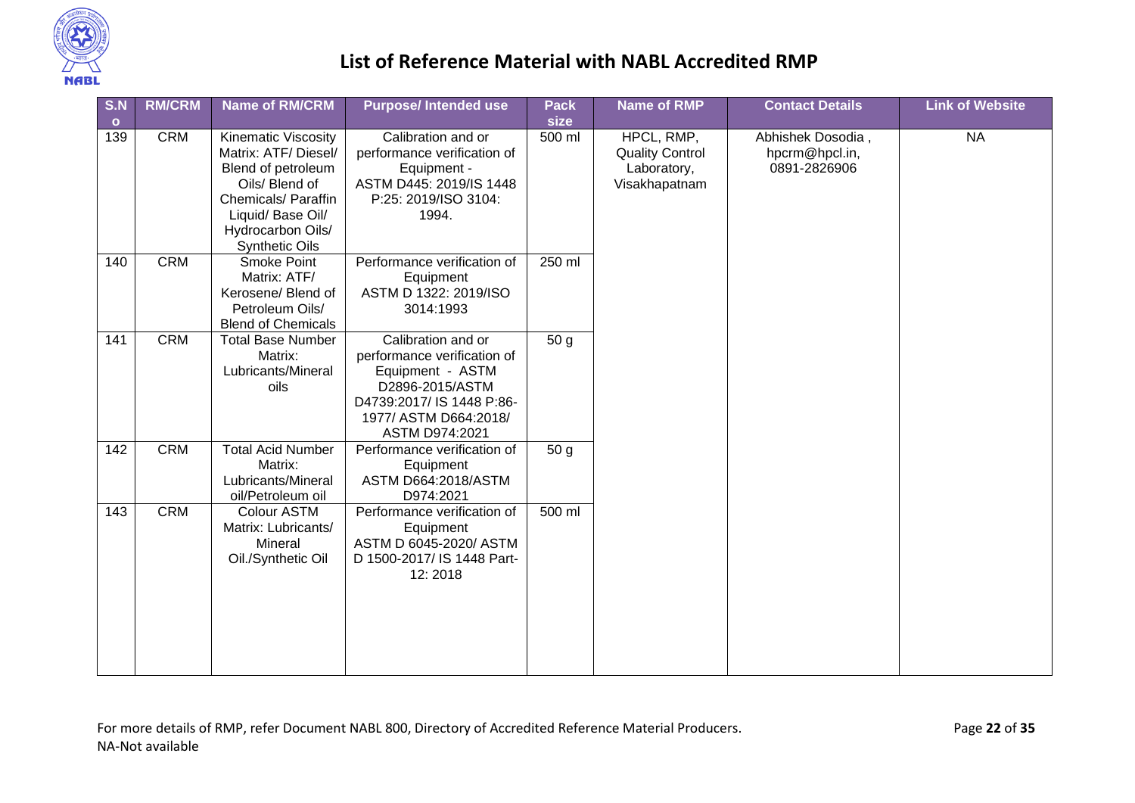

| S.N            | <b>RM/CRM</b> | <b>Name of RM/CRM</b>                                                                                                                                                                | <b>Purpose/Intended use</b>                                                                                                                                      | <b>Pack</b><br>size | <b>Name of RMP</b>                                                   | <b>Contact Details</b>                              | <b>Link of Website</b> |  |
|----------------|---------------|--------------------------------------------------------------------------------------------------------------------------------------------------------------------------------------|------------------------------------------------------------------------------------------------------------------------------------------------------------------|---------------------|----------------------------------------------------------------------|-----------------------------------------------------|------------------------|--|
| $\circ$<br>139 | <b>CRM</b>    | <b>Kinematic Viscosity</b><br>Matrix: ATF/ Diesel/<br>Blend of petroleum<br>Oils/ Blend of<br>Chemicals/ Paraffin<br>Liquid/ Base Oil/<br>Hydrocarbon Oils/<br><b>Synthetic Oils</b> | Calibration and or<br>performance verification of<br>Equipment -<br>ASTM D445: 2019/IS 1448<br>P:25: 2019/ISO 3104:<br>1994.                                     | 500 ml              | HPCL, RMP,<br><b>Quality Control</b><br>Laboratory,<br>Visakhapatnam | Abhishek Dosodia,<br>hpcrm@hpcl.in,<br>0891-2826906 | <b>NA</b>              |  |
| 140            | <b>CRM</b>    | Smoke Point<br>Matrix: ATF/<br>Kerosene/ Blend of<br>Petroleum Oils/<br><b>Blend of Chemicals</b>                                                                                    | Performance verification of<br>Equipment<br>ASTM D 1322: 2019/ISO<br>3014:1993                                                                                   | 250 ml              |                                                                      |                                                     |                        |  |
| 141            | <b>CRM</b>    | <b>Total Base Number</b><br>Matrix:<br>Lubricants/Mineral<br>oils                                                                                                                    | Calibration and or<br>performance verification of<br>Equipment - ASTM<br>D2896-2015/ASTM<br>D4739:2017/ IS 1448 P:86-<br>1977/ ASTM D664:2018/<br>ASTM D974:2021 | 50 <sub>g</sub>     |                                                                      |                                                     |                        |  |
| 142            | <b>CRM</b>    | <b>Total Acid Number</b><br>Matrix:<br>Lubricants/Mineral<br>oil/Petroleum oil                                                                                                       | Performance verification of<br>Equipment<br>ASTM D664:2018/ASTM<br>D974:2021                                                                                     | 50 <sub>g</sub>     |                                                                      |                                                     |                        |  |
| 143            | <b>CRM</b>    | Colour ASTM<br>Matrix: Lubricants/<br>Mineral<br>Oil./Synthetic Oil                                                                                                                  | Performance verification of<br>Equipment<br>ASTM D 6045-2020/ ASTM<br>D 1500-2017/ IS 1448 Part-<br>12:2018                                                      | 500 ml              |                                                                      |                                                     |                        |  |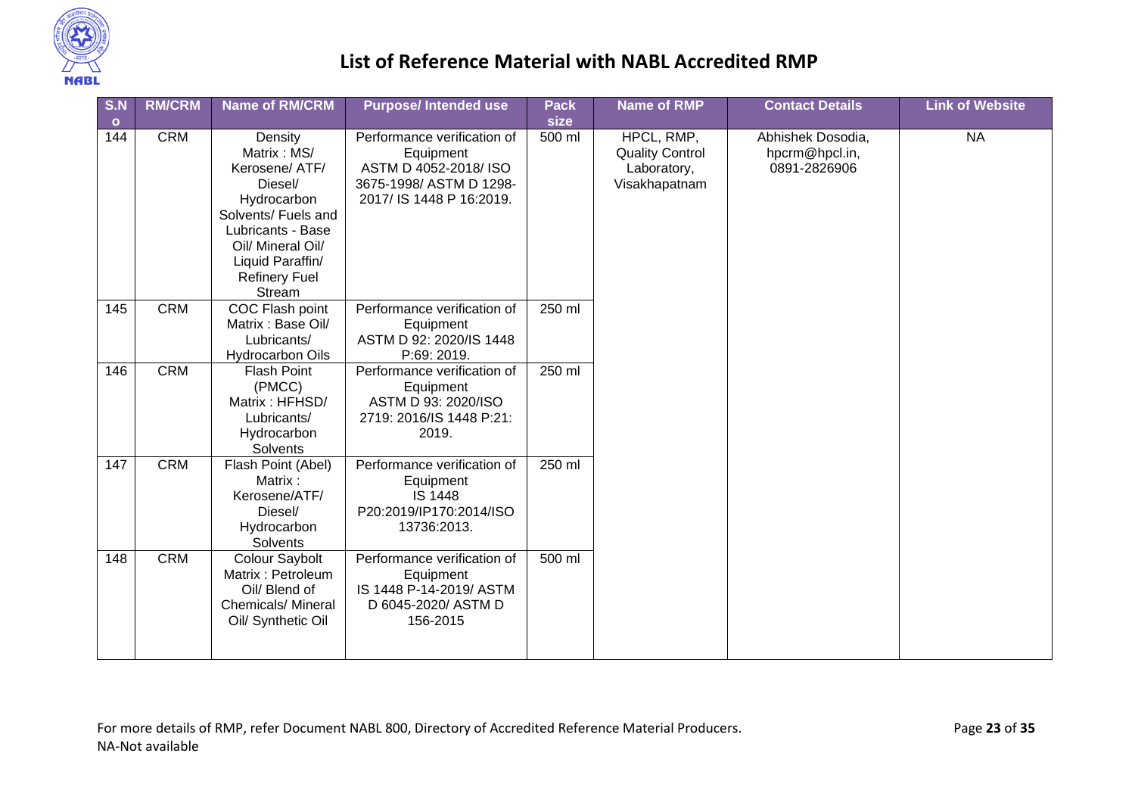

| S.N<br>$\circ$ | <b>RM/CRM</b> | <b>Name of RM/CRM</b>                                                                                                                                                                     | <b>Purpose/Intended use</b>                                                                                             | <b>Pack</b><br>size | <b>Name of RMP</b>                                                   | <b>Contact Details</b>                              | <b>Link of Website</b> |
|----------------|---------------|-------------------------------------------------------------------------------------------------------------------------------------------------------------------------------------------|-------------------------------------------------------------------------------------------------------------------------|---------------------|----------------------------------------------------------------------|-----------------------------------------------------|------------------------|
| 144            | <b>CRM</b>    | Density<br>Matrix: MS/<br>Kerosene/ ATF/<br>Diesel/<br>Hydrocarbon<br>Solvents/ Fuels and<br>Lubricants - Base<br>Oil/ Mineral Oil/<br>Liquid Paraffin/<br><b>Refinery Fuel</b><br>Stream | Performance verification of<br>Equipment<br>ASTM D 4052-2018/ISO<br>3675-1998/ ASTM D 1298-<br>2017/ IS 1448 P 16:2019. | 500 ml              | HPCL, RMP,<br><b>Quality Control</b><br>Laboratory,<br>Visakhapatnam | Abhishek Dosodia,<br>hpcrm@hpcl.in,<br>0891-2826906 | <b>NA</b>              |
| 145            | <b>CRM</b>    | COC Flash point<br>Matrix: Base Oil/<br>Lubricants/<br><b>Hydrocarbon Oils</b>                                                                                                            | Performance verification of<br>Equipment<br>ASTM D 92: 2020/IS 1448<br>P:69: 2019.                                      | 250 ml              |                                                                      |                                                     |                        |
| 146            | <b>CRM</b>    | <b>Flash Point</b><br>(PMCC)<br>Matrix: HFHSD/<br>Lubricants/<br>Hydrocarbon<br>Solvents                                                                                                  | Performance verification of<br>Equipment<br>ASTM D 93: 2020/ISO<br>2719: 2016/IS 1448 P:21:<br>2019.                    | 250 ml              |                                                                      |                                                     |                        |
| 147            | <b>CRM</b>    | Flash Point (Abel)<br>Matrix:<br>Kerosene/ATF/<br>Diesel/<br>Hydrocarbon<br>Solvents                                                                                                      | Performance verification of<br>Equipment<br><b>IS 1448</b><br>P20:2019/IP170:2014/ISO<br>13736:2013.                    | 250 ml              |                                                                      |                                                     |                        |
| 148            | <b>CRM</b>    | Colour Saybolt<br>Matrix: Petroleum<br>Oil/ Blend of<br>Chemicals/ Mineral<br>Oil/ Synthetic Oil                                                                                          | Performance verification of<br>Equipment<br>IS 1448 P-14-2019/ ASTM<br>D 6045-2020/ ASTM D<br>156-2015                  | 500 ml              |                                                                      |                                                     |                        |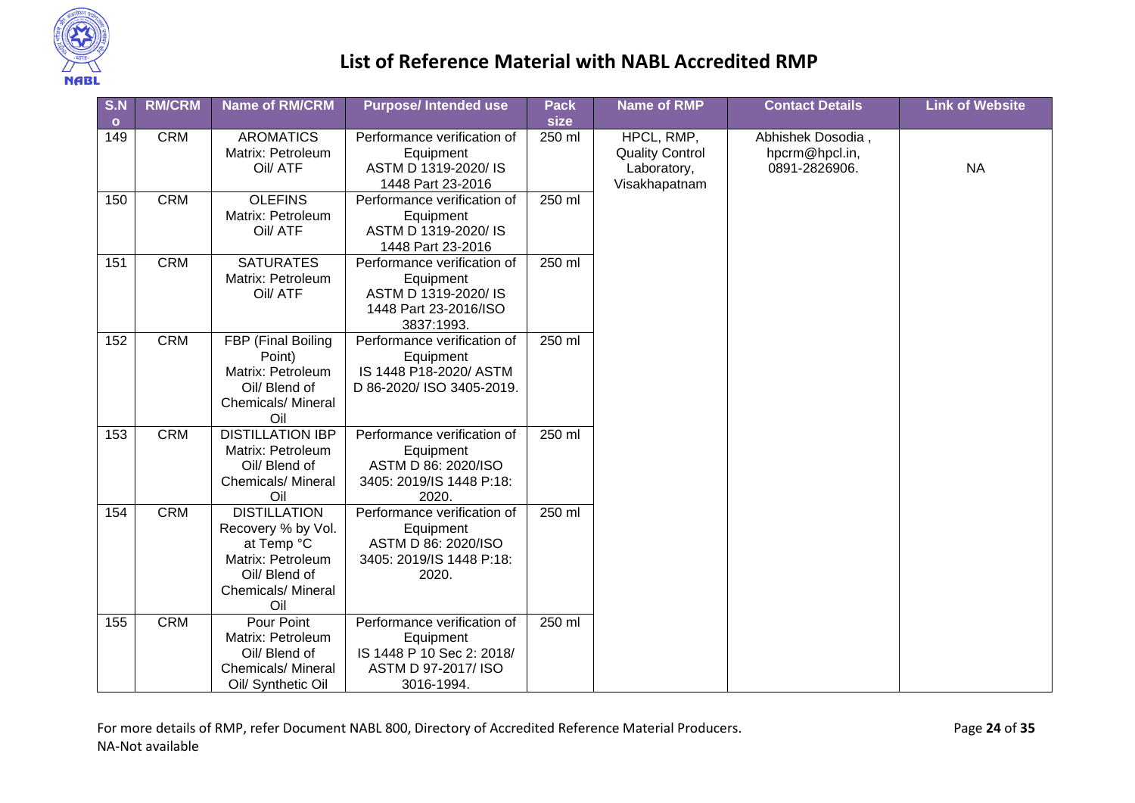

| S.N     | <b>RM/CRM</b> | <b>Name of RM/CRM</b>                                                                                                             | <b>Purpose/Intended use</b>                                                                                | <b>Pack</b> | <b>Name of RMP</b>                                                   | <b>Contact Details</b>                               | <b>Link of Website</b> |
|---------|---------------|-----------------------------------------------------------------------------------------------------------------------------------|------------------------------------------------------------------------------------------------------------|-------------|----------------------------------------------------------------------|------------------------------------------------------|------------------------|
| $\circ$ |               |                                                                                                                                   |                                                                                                            | size        |                                                                      |                                                      |                        |
| 149     | <b>CRM</b>    | <b>AROMATICS</b><br>Matrix: Petroleum<br>Oil/ ATF                                                                                 | Performance verification of<br>Equipment<br>ASTM D 1319-2020/ IS<br>1448 Part 23-2016                      | 250 ml      | HPCL, RMP,<br><b>Quality Control</b><br>Laboratory,<br>Visakhapatnam | Abhishek Dosodia,<br>hpcrm@hpcl.in,<br>0891-2826906. | <b>NA</b>              |
| 150     | <b>CRM</b>    | <b>OLEFINS</b><br>Matrix: Petroleum<br>Oil/ ATF                                                                                   | Performance verification of<br>Equipment<br>ASTM D 1319-2020/ IS<br>1448 Part 23-2016                      | 250 ml      |                                                                      |                                                      |                        |
| 151     | <b>CRM</b>    | <b>SATURATES</b><br>Matrix: Petroleum<br>Oil/ ATF                                                                                 | Performance verification of<br>Equipment<br>ASTM D 1319-2020/ IS<br>1448 Part 23-2016/ISO<br>3837:1993.    | 250 ml      |                                                                      |                                                      |                        |
| 152     | <b>CRM</b>    | FBP (Final Boiling<br>Point)<br>Matrix: Petroleum<br>Oil/ Blend of<br><b>Chemicals/ Mineral</b><br>Oil                            | Performance verification of<br>Equipment<br>IS 1448 P18-2020/ ASTM<br>D 86-2020/ ISO 3405-2019.            | 250 ml      |                                                                      |                                                      |                        |
| 153     | <b>CRM</b>    | <b>DISTILLATION IBP</b><br>Matrix: Petroleum<br>Oil/ Blend of<br><b>Chemicals/Mineral</b><br>Oil                                  | Performance verification of<br>Equipment<br>ASTM D 86: 2020/ISO<br>3405: 2019/IS 1448 P:18:<br>2020.       | 250 ml      |                                                                      |                                                      |                        |
| 154     | <b>CRM</b>    | <b>DISTILLATION</b><br>Recovery % by Vol.<br>at Temp °C<br>Matrix: Petroleum<br>Oil/ Blend of<br><b>Chemicals/ Mineral</b><br>Oil | Performance verification of<br>Equipment<br>ASTM D 86: 2020/ISO<br>3405: 2019/IS 1448 P:18:<br>2020.       | 250 ml      |                                                                      |                                                      |                        |
| 155     | <b>CRM</b>    | Pour Point<br>Matrix: Petroleum<br>Oil/ Blend of<br><b>Chemicals/ Mineral</b><br>Oil/ Synthetic Oil                               | Performance verification of<br>Equipment<br>IS 1448 P 10 Sec 2: 2018/<br>ASTM D 97-2017/ ISO<br>3016-1994. | 250 ml      |                                                                      |                                                      |                        |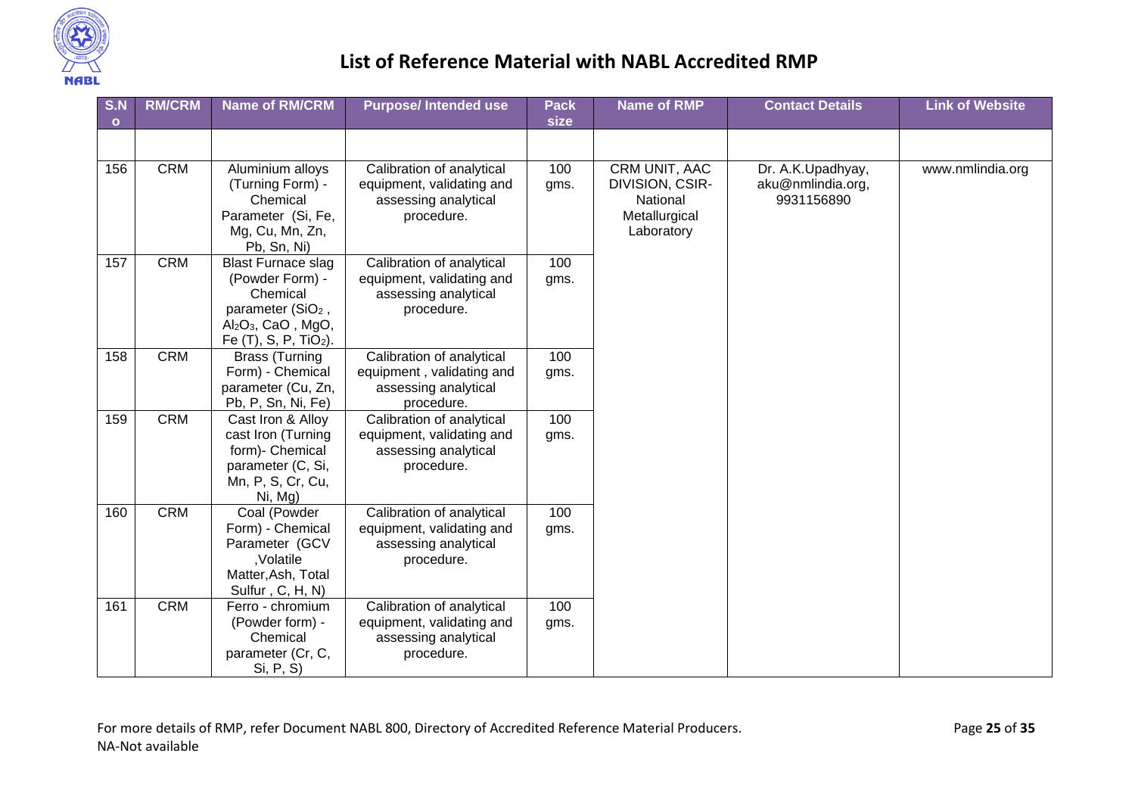

| S.N          | <b>RM/CRM</b> | <b>Name of RM/CRM</b>                                                                                                                                   | <b>Purpose/Intended use</b>                                                                  | <b>Pack</b><br>size | <b>Name of RMP</b>                                                          | <b>Contact Details</b>                               | <b>Link of Website</b> |
|--------------|---------------|---------------------------------------------------------------------------------------------------------------------------------------------------------|----------------------------------------------------------------------------------------------|---------------------|-----------------------------------------------------------------------------|------------------------------------------------------|------------------------|
| $\mathbf{o}$ |               |                                                                                                                                                         |                                                                                              |                     |                                                                             |                                                      |                        |
|              |               |                                                                                                                                                         |                                                                                              |                     |                                                                             |                                                      |                        |
| 156          | <b>CRM</b>    | Aluminium alloys<br>(Turning Form) -<br>Chemical<br>Parameter (Si, Fe,<br>Mg, Cu, Mn, Zn,<br>Pb, Sn, Ni)                                                | Calibration of analytical<br>equipment, validating and<br>assessing analytical<br>procedure. | 100<br>gms.         | CRM UNIT, AAC<br>DIVISION, CSIR-<br>National<br>Metallurgical<br>Laboratory | Dr. A.K.Upadhyay,<br>aku@nmlindia.org,<br>9931156890 | www.nmlindia.org       |
| 157          | <b>CRM</b>    | <b>Blast Furnace slag</b><br>(Powder Form) -<br>Chemical<br>parameter (SiO <sub>2</sub> ,<br>$Al_2O_3$ , CaO, MgO,<br>Fe (T), S, P, TiO <sub>2</sub> ). | Calibration of analytical<br>equipment, validating and<br>assessing analytical<br>procedure. | 100<br>gms.         |                                                                             |                                                      |                        |
| 158          | <b>CRM</b>    | <b>Brass (Turning</b><br>Form) - Chemical<br>parameter (Cu, Zn,<br>Pb, P, Sn, Ni, Fe)                                                                   | Calibration of analytical<br>equipment, validating and<br>assessing analytical<br>procedure. | 100<br>gms.         |                                                                             |                                                      |                        |
| 159          | <b>CRM</b>    | Cast Iron & Alloy<br>cast Iron (Turning<br>form)- Chemical<br>parameter (C, Si,<br>Mn, P, S, Cr, Cu,<br>Ni, Mg)                                         | Calibration of analytical<br>equipment, validating and<br>assessing analytical<br>procedure. | 100<br>gms.         |                                                                             |                                                      |                        |
| 160          | CRM           | Coal (Powder<br>Form) - Chemical<br>Parameter (GCV<br>,Volatile<br>Matter, Ash, Total<br>Sulfur, C, H, N)                                               | Calibration of analytical<br>equipment, validating and<br>assessing analytical<br>procedure. | 100<br>gms.         |                                                                             |                                                      |                        |
| 161          | <b>CRM</b>    | Ferro - chromium<br>(Powder form) -<br>Chemical<br>parameter (Cr, C,<br>Si, P, S)                                                                       | Calibration of analytical<br>equipment, validating and<br>assessing analytical<br>procedure. | 100<br>gms.         |                                                                             |                                                      |                        |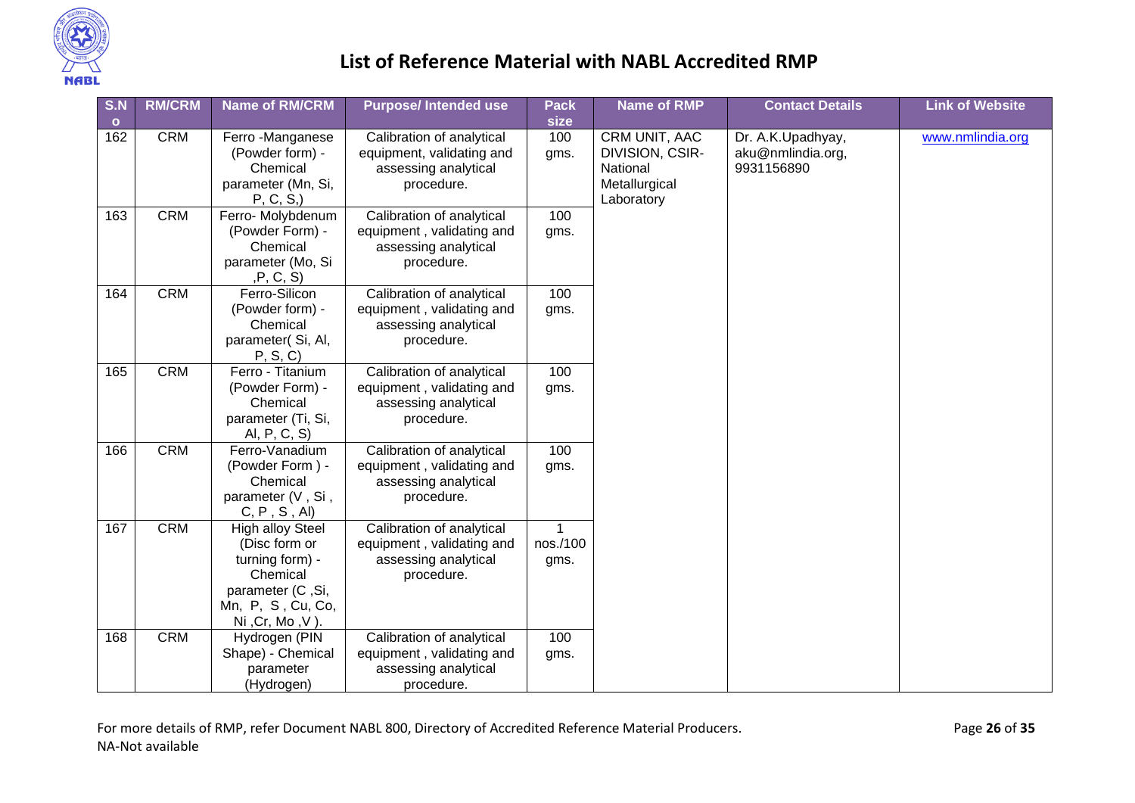

| S.N     | <b>RM/CRM</b> | <b>Name of RM/CRM</b>                                                                                                                | <b>Purpose/Intended use</b>                                                                  | <b>Pack</b>           | <b>Name of RMP</b>                                                                                             | <b>Contact Details</b> | <b>Link of Website</b> |
|---------|---------------|--------------------------------------------------------------------------------------------------------------------------------------|----------------------------------------------------------------------------------------------|-----------------------|----------------------------------------------------------------------------------------------------------------|------------------------|------------------------|
| $\circ$ |               |                                                                                                                                      |                                                                                              | size                  |                                                                                                                |                        |                        |
| 162     | <b>CRM</b>    | Ferro - Manganese<br>(Powder form) -<br>Chemical<br>parameter (Mn, Si,<br>P, C, S,                                                   | Calibration of analytical<br>equipment, validating and<br>assessing analytical<br>procedure. | 100<br>gms.           | CRM UNIT, AAC<br>aku@nmlindia.org,<br>DIVISION, CSIR-<br>National<br>9931156890<br>Metallurgical<br>Laboratory | Dr. A.K.Upadhyay,      | www.nmlindia.org       |
| 163     | <b>CRM</b>    | Ferro- Molybdenum<br>(Powder Form) -<br>Chemical<br>parameter (Mo, Si<br>,P, C, S)                                                   | Calibration of analytical<br>equipment, validating and<br>assessing analytical<br>procedure. | 100<br>gms.           |                                                                                                                |                        |                        |
| 164     | <b>CRM</b>    | Ferro-Silicon<br>(Powder form) -<br>Chemical<br>parameter(Si, Al,<br>P, S, C                                                         | Calibration of analytical<br>equipment, validating and<br>assessing analytical<br>procedure. | 100<br>gms.           |                                                                                                                |                        |                        |
| 165     | <b>CRM</b>    | Ferro - Titanium<br>(Powder Form) -<br>Chemical<br>parameter (Ti, Si,<br>Al, P, C, S)                                                | Calibration of analytical<br>equipment, validating and<br>assessing analytical<br>procedure. | 100<br>gms.           |                                                                                                                |                        |                        |
| 166     | <b>CRM</b>    | Ferro-Vanadium<br>(Powder Form) -<br>Chemical<br>parameter (V, Si,<br>C, P, S, AI                                                    | Calibration of analytical<br>equipment, validating and<br>assessing analytical<br>procedure. | 100<br>gms.           |                                                                                                                |                        |                        |
| 167     | <b>CRM</b>    | <b>High alloy Steel</b><br>(Disc form or<br>turning form) -<br>Chemical<br>parameter (C, Si,<br>Mn, P, S, Cu, Co,<br>Ni, Cr, Mo, V). | Calibration of analytical<br>equipment, validating and<br>assessing analytical<br>procedure. | 1<br>nos./100<br>gms. |                                                                                                                |                        |                        |
| 168     | <b>CRM</b>    | Hydrogen (PIN<br>Shape) - Chemical<br>parameter<br>(Hydrogen)                                                                        | Calibration of analytical<br>equipment, validating and<br>assessing analytical<br>procedure. | 100<br>gms.           |                                                                                                                |                        |                        |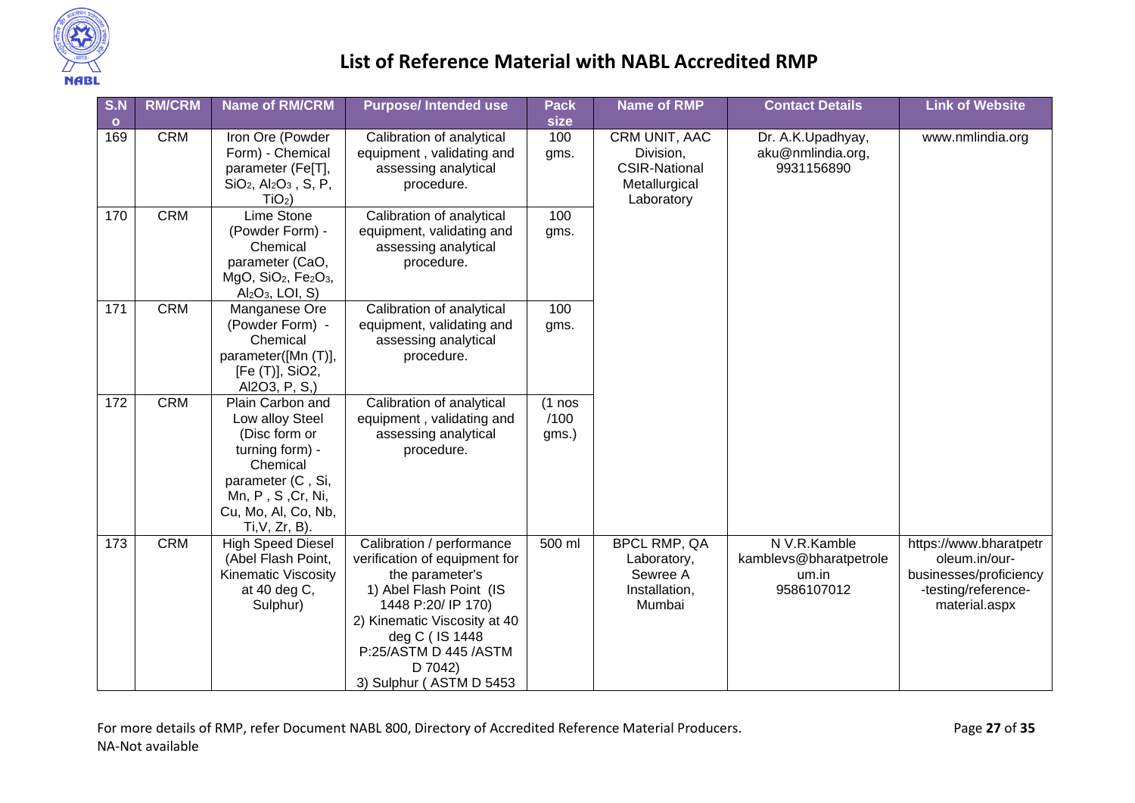

| S.N            | <b>RM/CRM</b> | <b>Name of RM/CRM</b>                                                                                                                                                     | <b>Purpose/Intended use</b>                                                                                                                                                                                                                     | <b>Pack</b><br>size       | <b>Name of RMP</b>                                                                | <b>Contact Details</b>                                        | <b>Link of Website</b>                                                                                    |
|----------------|---------------|---------------------------------------------------------------------------------------------------------------------------------------------------------------------------|-------------------------------------------------------------------------------------------------------------------------------------------------------------------------------------------------------------------------------------------------|---------------------------|-----------------------------------------------------------------------------------|---------------------------------------------------------------|-----------------------------------------------------------------------------------------------------------|
| $\circ$<br>169 | <b>CRM</b>    | Iron Ore (Powder<br>Form) - Chemical<br>parameter (Fe[T],<br>$SiO2$ , Al <sub>2</sub> O <sub>3</sub> , S, P,<br>$TiO2$ )                                                  | Calibration of analytical<br>equipment, validating and<br>assessing analytical<br>procedure.                                                                                                                                                    | 100<br>gms.               | CRM UNIT, AAC<br>Division,<br><b>CSIR-National</b><br>Metallurgical<br>Laboratory | Dr. A.K.Upadhyay,<br>aku@nmlindia.org,<br>9931156890          | www.nmlindia.org                                                                                          |
| 170            | <b>CRM</b>    | Lime Stone<br>(Powder Form) -<br>Chemical<br>parameter (CaO,<br>MgO, SiO <sub>2</sub> , Fe <sub>2</sub> O <sub>3</sub> ,<br>$Al_2O_3$ , LOI, S)                           | Calibration of analytical<br>equipment, validating and<br>assessing analytical<br>procedure.                                                                                                                                                    | 100<br>gms.               |                                                                                   |                                                               |                                                                                                           |
| 171            | <b>CRM</b>    | Manganese Ore<br>(Powder Form) -<br>Chemical<br>parameter([Mn (T)],<br>[Fe (T)], SiO2,<br>Al2O3, P, S,)                                                                   | Calibration of analytical<br>equipment, validating and<br>assessing analytical<br>procedure.                                                                                                                                                    | 100<br>gms.               |                                                                                   |                                                               |                                                                                                           |
| 172            | <b>CRM</b>    | Plain Carbon and<br>Low alloy Steel<br>(Disc form or<br>turning form) -<br>Chemical<br>parameter (C, Si,<br>Mn, P, S, Cr, Ni,<br>Cu, Mo, Al, Co, Nb,<br>$Ti, V, Zr, B$ ). | Calibration of analytical<br>equipment, validating and<br>assessing analytical<br>procedure.                                                                                                                                                    | $(1$ nos<br>/100<br>gms.) |                                                                                   |                                                               |                                                                                                           |
| 173            | <b>CRM</b>    | <b>High Speed Diesel</b><br>(Abel Flash Point,<br><b>Kinematic Viscosity</b><br>at 40 deg C,<br>Sulphur)                                                                  | Calibration / performance<br>verification of equipment for<br>the parameter's<br>1) Abel Flash Point (IS<br>1448 P:20/ IP 170)<br>2) Kinematic Viscosity at 40<br>deg C (IS 1448<br>P:25/ASTM D 445 /ASTM<br>D 7042)<br>3) Sulphur (ASTM D 5453 | 500 ml                    | <b>BPCL RMP, QA</b><br>Laboratory,<br>Sewree A<br>Installation,<br>Mumbai         | N V.R.Kamble<br>kamblevs@bharatpetrole<br>um.in<br>9586107012 | https://www.bharatpetr<br>oleum.in/our-<br>businesses/proficiency<br>-testing/reference-<br>material.aspx |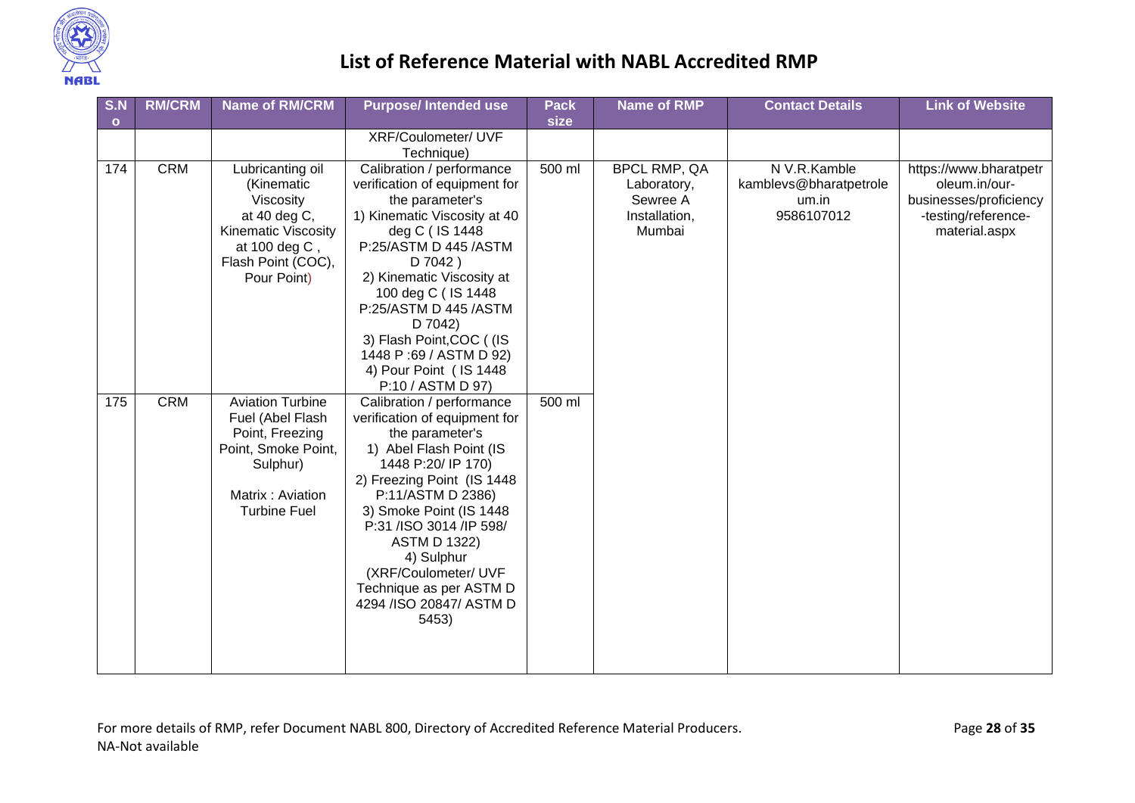

| S.N       | <b>RM/CRM</b> | <b>Name of RM/CRM</b>                                                                                                                           | <b>Purpose/Intended use</b>                                                                                                                                                                                                                                                                                                                                          | <b>Pack</b> | <b>Name of RMP</b>                                                        | <b>Contact Details</b>                                        | <b>Link of Website</b>                                                                                    |
|-----------|---------------|-------------------------------------------------------------------------------------------------------------------------------------------------|----------------------------------------------------------------------------------------------------------------------------------------------------------------------------------------------------------------------------------------------------------------------------------------------------------------------------------------------------------------------|-------------|---------------------------------------------------------------------------|---------------------------------------------------------------|-----------------------------------------------------------------------------------------------------------|
| $\bullet$ |               |                                                                                                                                                 |                                                                                                                                                                                                                                                                                                                                                                      | size        |                                                                           |                                                               |                                                                                                           |
|           |               |                                                                                                                                                 | XRF/Coulometer/ UVF<br>Technique)                                                                                                                                                                                                                                                                                                                                    |             |                                                                           |                                                               |                                                                                                           |
| 174       | <b>CRM</b>    | Lubricanting oil<br>(Kinematic<br>Viscosity<br>at 40 deg C,<br><b>Kinematic Viscosity</b><br>at 100 deg C,<br>Flash Point (COC),<br>Pour Point) | Calibration / performance<br>verification of equipment for<br>the parameter's<br>1) Kinematic Viscosity at 40<br>deg C (IS 1448<br>P:25/ASTM D 445 /ASTM<br>D 7042)<br>2) Kinematic Viscosity at<br>100 deg C (IS 1448<br>P:25/ASTM D 445 /ASTM<br>D 7042)<br>3) Flash Point, COC ((IS<br>1448 P:69 / ASTM D 92)<br>4) Pour Point ( IS 1448<br>P:10 / ASTM D 97)     | 500 ml      | <b>BPCL RMP, QA</b><br>Laboratory,<br>Sewree A<br>Installation,<br>Mumbai | N V.R.Kamble<br>kamblevs@bharatpetrole<br>um.in<br>9586107012 | https://www.bharatpetr<br>oleum.in/our-<br>businesses/proficiency<br>-testing/reference-<br>material.aspx |
| 175       | <b>CRM</b>    | <b>Aviation Turbine</b><br>Fuel (Abel Flash<br>Point, Freezing<br>Point, Smoke Point,<br>Sulphur)<br>Matrix: Aviation<br><b>Turbine Fuel</b>    | Calibration / performance<br>verification of equipment for<br>the parameter's<br>1) Abel Flash Point (IS<br>1448 P:20/ IP 170)<br>2) Freezing Point (IS 1448<br>P:11/ASTM D 2386)<br>3) Smoke Point (IS 1448<br>P:31 /ISO 3014 /IP 598/<br><b>ASTM D 1322)</b><br>4) Sulphur<br>(XRF/Coulometer/ UVF<br>Technique as per ASTM D<br>4294 / ISO 20847/ ASTM D<br>5453) | 500 ml      |                                                                           |                                                               |                                                                                                           |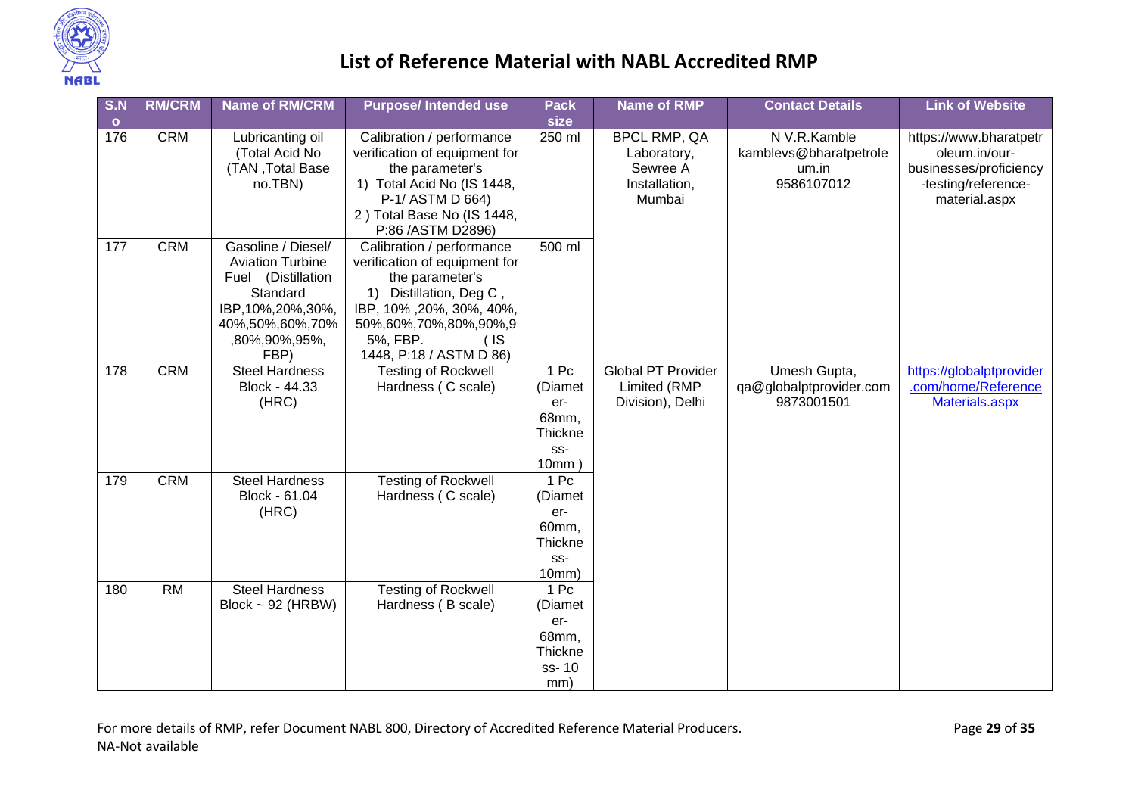

| S.N          | <b>RM/CRM</b> | <b>Name of RM/CRM</b>                                                                                                                              | <b>Purpose/Intended use</b>                                                                                                                                                                                 | <b>Pack</b>                                                       | <b>Name of RMP</b>                                                        | <b>Contact Details</b>                                        | <b>Link of Website</b>                                                                                    |
|--------------|---------------|----------------------------------------------------------------------------------------------------------------------------------------------------|-------------------------------------------------------------------------------------------------------------------------------------------------------------------------------------------------------------|-------------------------------------------------------------------|---------------------------------------------------------------------------|---------------------------------------------------------------|-----------------------------------------------------------------------------------------------------------|
| $\mathbf{o}$ |               |                                                                                                                                                    |                                                                                                                                                                                                             | size                                                              |                                                                           |                                                               |                                                                                                           |
| 176          | <b>CRM</b>    | Lubricanting oil<br>(Total Acid No<br>(TAN, Total Base<br>no.TBN)                                                                                  | Calibration / performance<br>verification of equipment for<br>the parameter's<br>1) Total Acid No (IS 1448,<br>P-1/ASTM D 664)<br>2) Total Base No (IS 1448,<br>P:86 / ASTM D2896)                          | 250 ml                                                            | <b>BPCL RMP, QA</b><br>Laboratory,<br>Sewree A<br>Installation,<br>Mumbai | N V.R.Kamble<br>kamblevs@bharatpetrole<br>um.in<br>9586107012 | https://www.bharatpetr<br>oleum.in/our-<br>businesses/proficiency<br>-testing/reference-<br>material.aspx |
| 177          | <b>CRM</b>    | Gasoline / Diesel/<br><b>Aviation Turbine</b><br>Fuel (Distillation<br>Standard<br>IBP, 10%, 20%, 30%,<br>40%,50%,60%,70%<br>,80%,90%,95%,<br>FBP) | Calibration / performance<br>verification of equipment for<br>the parameter's<br>1) Distillation, Deg C,<br>IBP, 10%, 20%, 30%, 40%,<br>50%,60%,70%,80%,90%,9<br>5%, FBP.<br>(IS<br>1448, P:18 / ASTM D 86) | 500 ml                                                            |                                                                           |                                                               |                                                                                                           |
| 178          | <b>CRM</b>    | <b>Steel Hardness</b><br>Block - 44.33<br>(HRC)                                                                                                    | <b>Testing of Rockwell</b><br>Hardness (C scale)                                                                                                                                                            | 1 Pc<br>(Diamet<br>er-<br>68mm,<br>Thickne<br>$SS-$<br>10mm       | <b>Global PT Provider</b><br>Limited (RMP<br>Division), Delhi             | Umesh Gupta,<br>qa@globalptprovider.com<br>9873001501         | https://globalptprovider<br>.com/home/Reference<br>Materials.aspx                                         |
| 179          | <b>CRM</b>    | <b>Steel Hardness</b><br>Block - 61.04<br>(HRC)                                                                                                    | <b>Testing of Rockwell</b><br>Hardness (C scale)                                                                                                                                                            | 1 Pc<br>(Diamet<br>er-<br>60mm,<br><b>Thickne</b><br>SS-<br>10mm) |                                                                           |                                                               |                                                                                                           |
| 180          | <b>RM</b>     | <b>Steel Hardness</b><br>Block $\sim$ 92 (HRBW)                                                                                                    | <b>Testing of Rockwell</b><br>Hardness (B scale)                                                                                                                                                            | 1 Pc<br>(Diamet<br>er-<br>68mm,<br>Thickne<br>ss-10<br>mm)        |                                                                           |                                                               |                                                                                                           |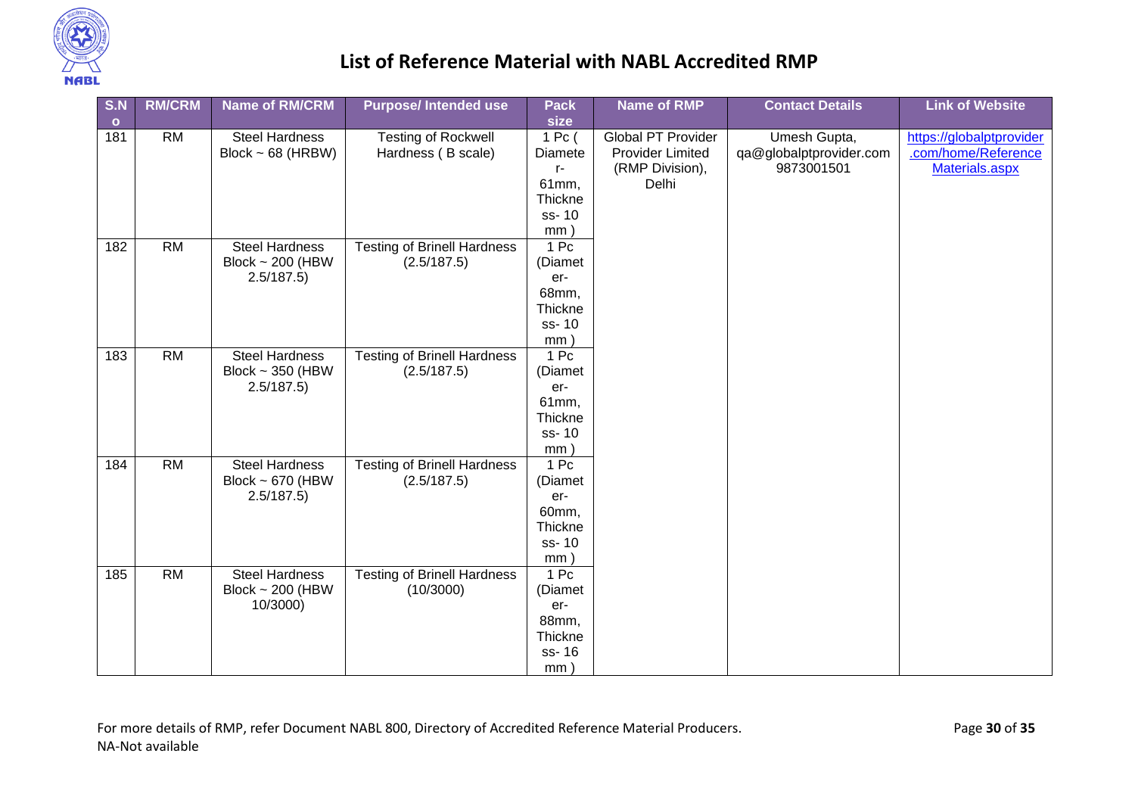

| S.N       | <b>RM/CRM</b>   | <b>Name of RM/CRM</b>  | <b>Purpose/Intended use</b>        | <b>Pack</b>     | <b>Name of RMP</b>        | <b>Contact Details</b>  | <b>Link of Website</b>   |
|-----------|-----------------|------------------------|------------------------------------|-----------------|---------------------------|-------------------------|--------------------------|
| $\bullet$ |                 |                        |                                    | size            |                           |                         |                          |
| 181       | <b>RM</b>       | <b>Steel Hardness</b>  | <b>Testing of Rockwell</b>         | 1 Pc (          | <b>Global PT Provider</b> | Umesh Gupta,            | https://globalptprovider |
|           |                 | Block $\sim$ 68 (HRBW) | Hardness (B scale)                 | Diamete         | <b>Provider Limited</b>   | qa@globalptprovider.com | .com/home/Reference      |
|           |                 |                        |                                    | $r-$            | (RMP Division),           | 9873001501              | Materials.aspx           |
|           |                 |                        |                                    | 61mm,           | Delhi                     |                         |                          |
|           |                 |                        |                                    | Thickne         |                           |                         |                          |
|           |                 |                        |                                    | ss-10           |                           |                         |                          |
|           |                 |                        |                                    | mm              |                           |                         |                          |
| 182       | RM              | <b>Steel Hardness</b>  | <b>Testing of Brinell Hardness</b> | 1 <sub>pc</sub> |                           |                         |                          |
|           |                 | Block ~ 200 (HBW       | (2.5/187.5)                        | (Diamet         |                           |                         |                          |
|           |                 | 2.5/187.5              |                                    | er-<br>68mm,    |                           |                         |                          |
|           |                 |                        |                                    | Thickne         |                           |                         |                          |
|           |                 |                        |                                    | ss-10           |                           |                         |                          |
|           |                 |                        |                                    | mm              |                           |                         |                          |
| 183       | RM              | <b>Steel Hardness</b>  | <b>Testing of Brinell Hardness</b> | 1 Pc            |                           |                         |                          |
|           |                 | Block $\sim$ 350 (HBW  | (2.5/187.5)                        | (Diamet         |                           |                         |                          |
|           |                 | 2.5/187.5)             |                                    | er-             |                           |                         |                          |
|           |                 |                        |                                    | 61mm,           |                           |                         |                          |
|           |                 |                        |                                    | Thickne         |                           |                         |                          |
|           |                 |                        |                                    | ss-10           |                           |                         |                          |
|           |                 |                        |                                    | mm              |                           |                         |                          |
| 184       | RM              | <b>Steel Hardness</b>  | <b>Testing of Brinell Hardness</b> | 1 Pc            |                           |                         |                          |
|           |                 | Block $\sim$ 670 (HBW  | (2.5/187.5)                        | (Diamet         |                           |                         |                          |
|           |                 | 2.5/187.5              |                                    | er-             |                           |                         |                          |
|           |                 |                        |                                    | 60mm,           |                           |                         |                          |
|           |                 |                        |                                    | Thickne         |                           |                         |                          |
|           |                 |                        |                                    | ss-10           |                           |                         |                          |
|           |                 |                        |                                    | mm              |                           |                         |                          |
| 185       | $\overline{RM}$ | <b>Steel Hardness</b>  | <b>Testing of Brinell Hardness</b> | 1 Pc            |                           |                         |                          |
|           |                 | Block $\sim$ 200 (HBW  | (10/3000)                          | (Diamet         |                           |                         |                          |
|           |                 | 10/3000)               |                                    | er-<br>88mm,    |                           |                         |                          |
|           |                 |                        |                                    | Thickne         |                           |                         |                          |
|           |                 |                        |                                    | ss-16           |                           |                         |                          |
|           |                 |                        |                                    | mm)             |                           |                         |                          |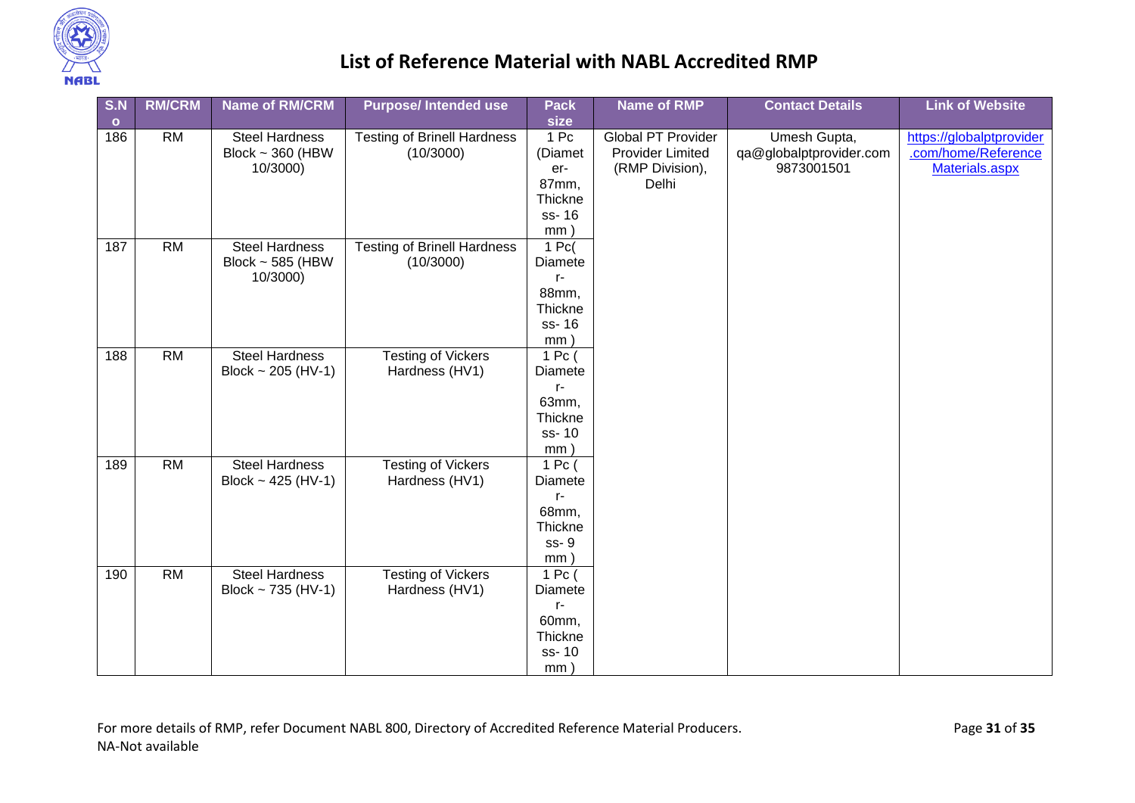

| S.N       | <b>RM/CRM</b>   | <b>Name of RM/CRM</b> | <b>Purpose/Intended use</b>        | <b>Pack</b>           | <b>Name of RMP</b>        | <b>Contact Details</b>  | <b>Link of Website</b>   |
|-----------|-----------------|-----------------------|------------------------------------|-----------------------|---------------------------|-------------------------|--------------------------|
| $\bullet$ |                 |                       |                                    | size                  |                           |                         |                          |
| 186       | <b>RM</b>       | <b>Steel Hardness</b> | <b>Testing of Brinell Hardness</b> | 1 Pc                  | <b>Global PT Provider</b> | Umesh Gupta,            | https://globalptprovider |
|           |                 | Block $\sim$ 360 (HBW | (10/3000)                          | (Diamet               | <b>Provider Limited</b>   | qa@globalptprovider.com | .com/home/Reference      |
|           |                 | 10/3000)              |                                    | er-                   | (RMP Division),           | 9873001501              | Materials.aspx           |
|           |                 |                       |                                    | 87mm,                 | Delhi                     |                         |                          |
|           |                 |                       |                                    | Thickne               |                           |                         |                          |
|           |                 |                       |                                    | ss-16                 |                           |                         |                          |
|           |                 |                       |                                    | mm                    |                           |                         |                          |
| 187       | RM              | <b>Steel Hardness</b> | <b>Testing of Brinell Hardness</b> | $1$ Pc(               |                           |                         |                          |
|           |                 | Block ~ 585 (HBW      | (10/3000)                          | Diamete               |                           |                         |                          |
|           |                 | 10/3000)              |                                    | r-                    |                           |                         |                          |
|           |                 |                       |                                    | 88mm,                 |                           |                         |                          |
|           |                 |                       |                                    | Thickne               |                           |                         |                          |
|           |                 |                       |                                    | ss-16                 |                           |                         |                          |
|           | RM              | <b>Steel Hardness</b> |                                    | mm<br>1 <sub>pc</sub> |                           |                         |                          |
| 188       |                 |                       | <b>Testing of Vickers</b>          |                       |                           |                         |                          |
|           |                 | Block ~ 205 (HV-1)    | Hardness (HV1)                     | Diamete<br>r-         |                           |                         |                          |
|           |                 |                       |                                    | 63mm,                 |                           |                         |                          |
|           |                 |                       |                                    | Thickne               |                           |                         |                          |
|           |                 |                       |                                    | ss-10                 |                           |                         |                          |
|           |                 |                       |                                    | mm                    |                           |                         |                          |
| 189       | $\overline{RM}$ | <b>Steel Hardness</b> | <b>Testing of Vickers</b>          | $1$ Pc (              |                           |                         |                          |
|           |                 | Block ~ 425 (HV-1)    | Hardness (HV1)                     | Diamete               |                           |                         |                          |
|           |                 |                       |                                    | r-                    |                           |                         |                          |
|           |                 |                       |                                    | 68mm,                 |                           |                         |                          |
|           |                 |                       |                                    | Thickne               |                           |                         |                          |
|           |                 |                       |                                    | ss-9                  |                           |                         |                          |
|           |                 |                       |                                    | mm)                   |                           |                         |                          |
| 190       | $\overline{RM}$ | <b>Steel Hardness</b> | <b>Testing of Vickers</b>          | $\overline{1}$ Pc (   |                           |                         |                          |
|           |                 | Block ~ 735 (HV-1)    | Hardness (HV1)                     | Diamete               |                           |                         |                          |
|           |                 |                       |                                    | r-                    |                           |                         |                          |
|           |                 |                       |                                    | 60mm,                 |                           |                         |                          |
|           |                 |                       |                                    | Thickne               |                           |                         |                          |
|           |                 |                       |                                    | ss-10                 |                           |                         |                          |
|           |                 |                       |                                    | mm)                   |                           |                         |                          |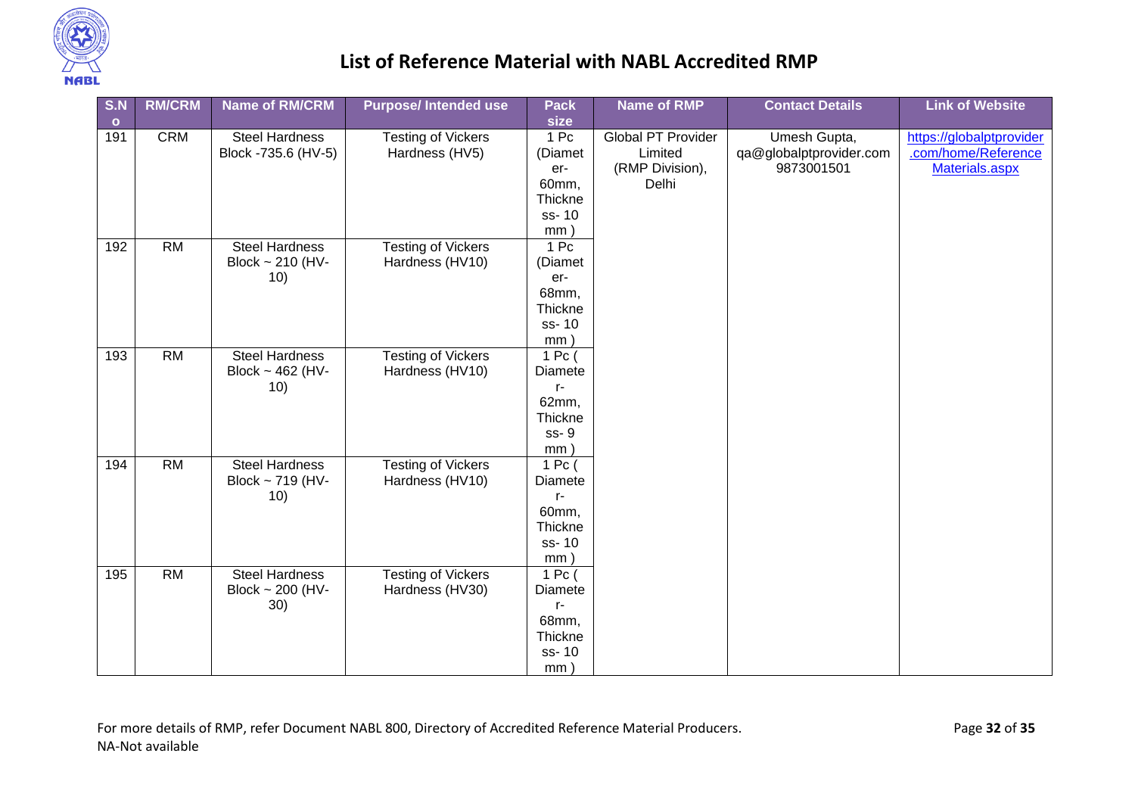

| S.N       | <b>RM/CRM</b> | <b>Name of RM/CRM</b>        | <b>Purpose/Intended use</b> | <b>Pack</b>            | <b>Name of RMP</b>        | <b>Contact Details</b>  | <b>Link of Website</b>   |
|-----------|---------------|------------------------------|-----------------------------|------------------------|---------------------------|-------------------------|--------------------------|
| $\bullet$ |               |                              |                             | size                   |                           |                         |                          |
| 191       | CRM           | <b>Steel Hardness</b>        | <b>Testing of Vickers</b>   | 1 Pc                   | <b>Global PT Provider</b> | Umesh Gupta,            | https://globalptprovider |
|           |               | Block -735.6 (HV-5)          | Hardness (HV5)              | (Diamet                | Limited                   | qa@globalptprovider.com | .com/home/Reference      |
|           |               |                              |                             | er-                    | (RMP Division),           | 9873001501              | Materials.aspx           |
|           |               |                              |                             | 60mm,                  | Delhi                     |                         |                          |
|           |               |                              |                             | Thickne                |                           |                         |                          |
|           |               |                              |                             | ss-10                  |                           |                         |                          |
|           |               |                              |                             | mm                     |                           |                         |                          |
| 192       | RM            | <b>Steel Hardness</b>        | <b>Testing of Vickers</b>   | 1 <sub>pc</sub>        |                           |                         |                          |
|           |               | Block $\sim$ 210 (HV-        | Hardness (HV10)             | (Diamet                |                           |                         |                          |
|           |               | 10)                          |                             | er-                    |                           |                         |                          |
|           |               |                              |                             | 68mm,                  |                           |                         |                          |
|           |               |                              |                             | Thickne                |                           |                         |                          |
|           |               |                              |                             | ss-10                  |                           |                         |                          |
|           | RM            |                              |                             | mm                     |                           |                         |                          |
| 193       |               | <b>Steel Hardness</b>        | <b>Testing of Vickers</b>   | 1 Pc (                 |                           |                         |                          |
|           |               | Block $\sim$ 462 (HV-<br>10) | Hardness (HV10)             | <b>Diamete</b><br>$r-$ |                           |                         |                          |
|           |               |                              |                             | 62mm,                  |                           |                         |                          |
|           |               |                              |                             | Thickne                |                           |                         |                          |
|           |               |                              |                             | ss-9                   |                           |                         |                          |
|           |               |                              |                             | mm                     |                           |                         |                          |
| 194       | RM            | <b>Steel Hardness</b>        | <b>Testing of Vickers</b>   | 1 Pc (                 |                           |                         |                          |
|           |               | Block ~ 719 (HV-             | Hardness (HV10)             | Diamete                |                           |                         |                          |
|           |               | 10)                          |                             | $r-$                   |                           |                         |                          |
|           |               |                              |                             | 60mm,                  |                           |                         |                          |
|           |               |                              |                             | Thickne                |                           |                         |                          |
|           |               |                              |                             | ss-10                  |                           |                         |                          |
|           |               |                              |                             | mm                     |                           |                         |                          |
| 195       | RM            | <b>Steel Hardness</b>        | <b>Testing of Vickers</b>   | $\overline{1}$ Pc (    |                           |                         |                          |
|           |               | Block $\sim$ 200 (HV-        | Hardness (HV30)             | Diamete                |                           |                         |                          |
|           |               | 30)                          |                             | $r-$                   |                           |                         |                          |
|           |               |                              |                             | 68mm,                  |                           |                         |                          |
|           |               |                              |                             | Thickne                |                           |                         |                          |
|           |               |                              |                             | ss-10                  |                           |                         |                          |
|           |               |                              |                             | mm)                    |                           |                         |                          |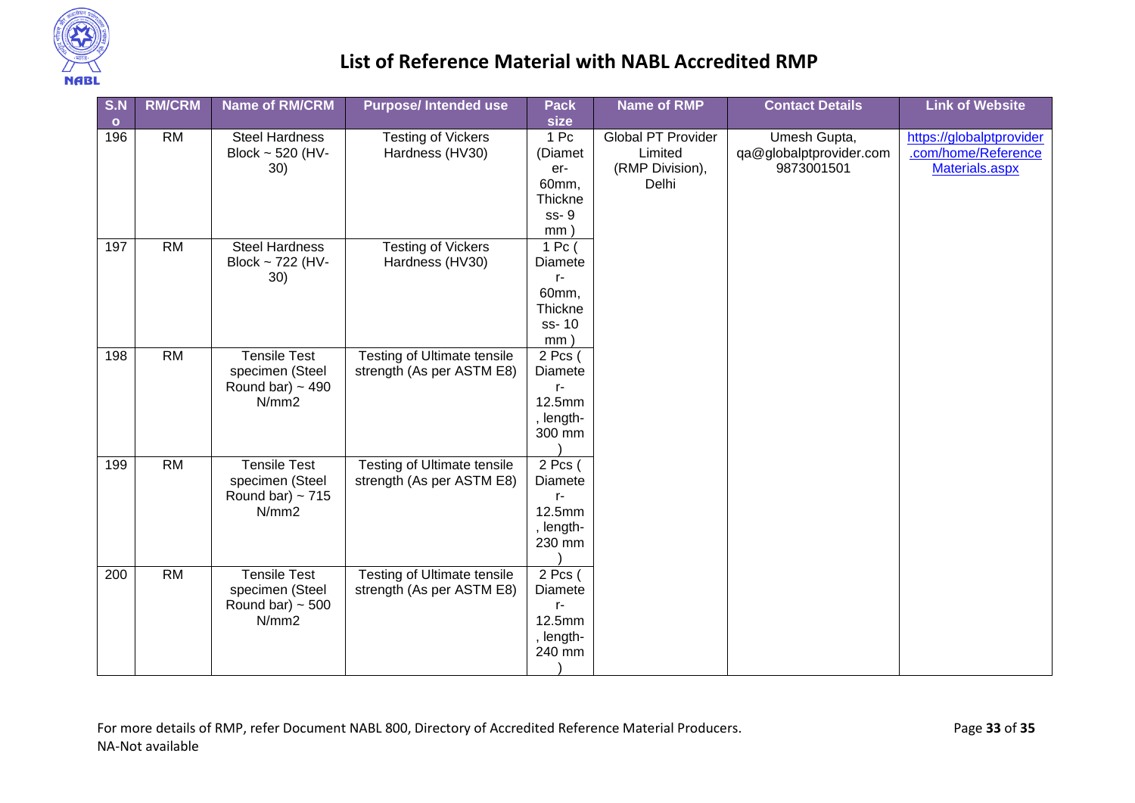

| S.N       | <b>RM/CRM</b>   | <b>Name of RM/CRM</b> | <b>Purpose/Intended use</b>        | <b>Pack</b>      | <b>Name of RMP</b>        | <b>Contact Details</b>  | <b>Link of Website</b>   |
|-----------|-----------------|-----------------------|------------------------------------|------------------|---------------------------|-------------------------|--------------------------|
| $\bullet$ |                 |                       |                                    | size             |                           |                         |                          |
| 196       | <b>RM</b>       | <b>Steel Hardness</b> | <b>Testing of Vickers</b>          | 1 Pc             | <b>Global PT Provider</b> | Umesh Gupta,            | https://globalptprovider |
|           |                 | Block ~ 520 (HV-      | Hardness (HV30)                    | (Diamet          | Limited                   | qa@globalptprovider.com | .com/home/Reference      |
|           |                 | 30)                   |                                    | er-              | (RMP Division),           | 9873001501              | Materials.aspx           |
|           |                 |                       |                                    | 60mm,            | Delhi                     |                         |                          |
|           |                 |                       |                                    | <b>Thickne</b>   |                           |                         |                          |
|           |                 |                       |                                    | ss-9             |                           |                         |                          |
|           |                 |                       |                                    | mm               |                           |                         |                          |
| 197       | $\overline{RM}$ | <b>Steel Hardness</b> | <b>Testing of Vickers</b>          | 1 <sub>pc</sub>  |                           |                         |                          |
|           |                 | Block ~ 722 (HV-      | Hardness (HV30)                    | Diamete          |                           |                         |                          |
|           |                 | 30)                   |                                    | r-               |                           |                         |                          |
|           |                 |                       |                                    | 60mm,            |                           |                         |                          |
|           |                 |                       |                                    | Thickne<br>ss-10 |                           |                         |                          |
|           |                 |                       |                                    | mm               |                           |                         |                          |
| 198       | $\overline{RM}$ | <b>Tensile Test</b>   | <b>Testing of Ultimate tensile</b> | 2 Pcs (          |                           |                         |                          |
|           |                 | specimen (Steel       | strength (As per ASTM E8)          | <b>Diamete</b>   |                           |                         |                          |
|           |                 | Round bar) $\sim$ 490 |                                    | r-               |                           |                         |                          |
|           |                 | N/mm2                 |                                    | 12.5mm           |                           |                         |                          |
|           |                 |                       |                                    | length-          |                           |                         |                          |
|           |                 |                       |                                    | 300 mm           |                           |                         |                          |
|           |                 |                       |                                    |                  |                           |                         |                          |
| 199       | $\overline{RM}$ | <b>Tensile Test</b>   | <b>Testing of Ultimate tensile</b> | 2 Pcs (          |                           |                         |                          |
|           |                 | specimen (Steel       | strength (As per ASTM E8)          | Diamete          |                           |                         |                          |
|           |                 | Round bar) $\sim$ 715 |                                    | $r-$             |                           |                         |                          |
|           |                 | N/mm2                 |                                    | 12.5mm           |                           |                         |                          |
|           |                 |                       |                                    | , length-        |                           |                         |                          |
|           |                 |                       |                                    | 230 mm           |                           |                         |                          |
|           |                 |                       |                                    |                  |                           |                         |                          |
| 200       | $\overline{RM}$ | <b>Tensile Test</b>   | <b>Testing of Ultimate tensile</b> | $2$ Pcs (        |                           |                         |                          |
|           |                 | specimen (Steel       | strength (As per ASTM E8)          | Diamete          |                           |                         |                          |
|           |                 | Round bar) $\sim$ 500 |                                    | $r-$             |                           |                         |                          |
|           |                 | N/mm2                 |                                    | 12.5mm           |                           |                         |                          |
|           |                 |                       |                                    | , length-        |                           |                         |                          |
|           |                 |                       |                                    | 240 mm           |                           |                         |                          |
|           |                 |                       |                                    |                  |                           |                         |                          |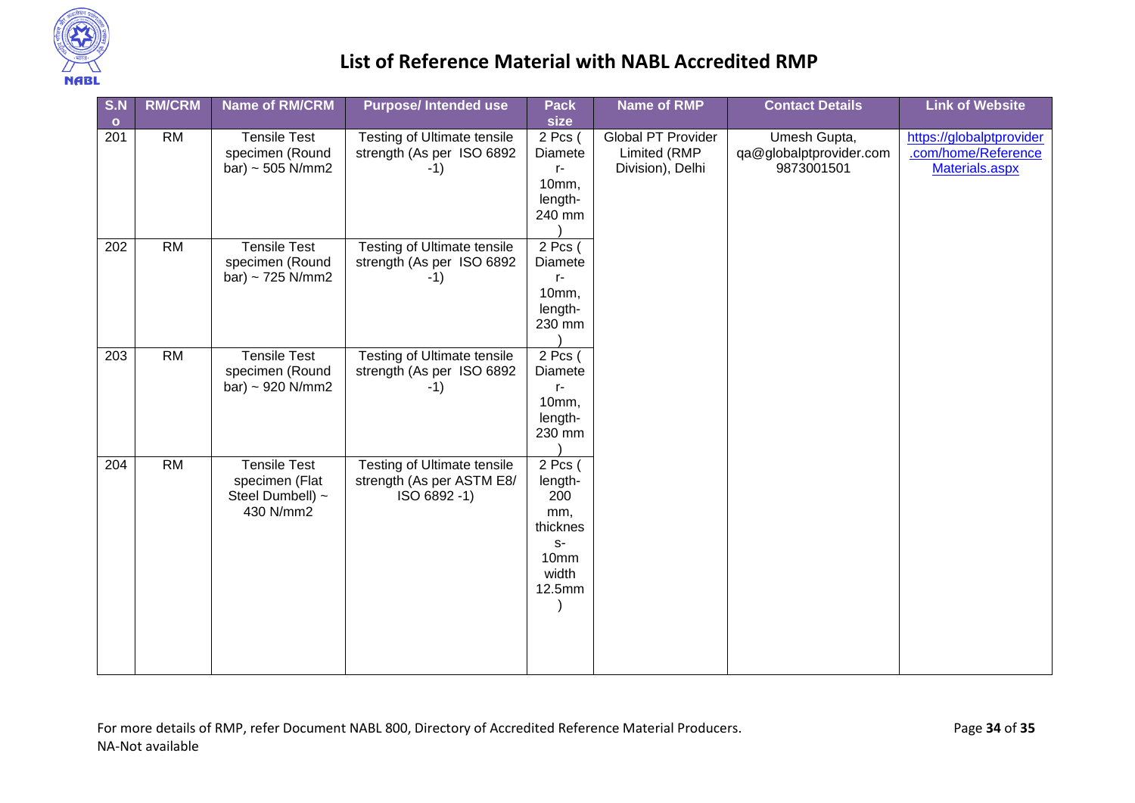

| S.N<br>$\bullet$ | <b>RM/CRM</b>   | <b>Name of RM/CRM</b>                                                  | <b>Purpose/Intended use</b>                                                    | <b>Pack</b><br>size                                                               | <b>Name of RMP</b>                                     | <b>Contact Details</b>                                | <b>Link of Website</b>                                            |
|------------------|-----------------|------------------------------------------------------------------------|--------------------------------------------------------------------------------|-----------------------------------------------------------------------------------|--------------------------------------------------------|-------------------------------------------------------|-------------------------------------------------------------------|
| 201              | <b>RM</b>       | <b>Tensile Test</b><br>specimen (Round<br>bar) ~ 505 N/mm2             | <b>Testing of Ultimate tensile</b><br>strength (As per ISO 6892<br>$-1)$       | 2 Pcs (<br>Diamete<br>$r-$<br>10mm,<br>length-<br>240 mm                          | Global PT Provider<br>Limited (RMP<br>Division), Delhi | Umesh Gupta,<br>qa@globalptprovider.com<br>9873001501 | https://globalptprovider<br>.com/home/Reference<br>Materials.aspx |
| 202              | $\overline{RM}$ | <b>Tensile Test</b><br>specimen (Round<br>bar) ~ $725$ N/mm2           | Testing of Ultimate tensile<br>strength (As per ISO 6892<br>$-1)$              | 2 Pcs (<br>Diamete<br>$r-$<br>10mm,<br>length-<br>230 mm                          |                                                        |                                                       |                                                                   |
| $\overline{203}$ | RM              | <b>Tensile Test</b><br>specimen (Round<br>bar) ~ 920 $N/mm2$           | <b>Testing of Ultimate tensile</b><br>strength (As per ISO 6892<br>$-1)$       | $2$ Pcs (<br>Diamete<br>$r-$<br>10mm,<br>length-<br>230 mm                        |                                                        |                                                       |                                                                   |
| $\overline{204}$ | RM              | <b>Tensile Test</b><br>specimen (Flat<br>Steel Dumbell) ~<br>430 N/mm2 | <b>Testing of Ultimate tensile</b><br>strength (As per ASTM E8/<br>ISO 6892-1) | $2$ Pcs (<br>length-<br>200<br>mm,<br>thicknes<br>$S-$<br>10mm<br>width<br>12.5mm |                                                        |                                                       |                                                                   |